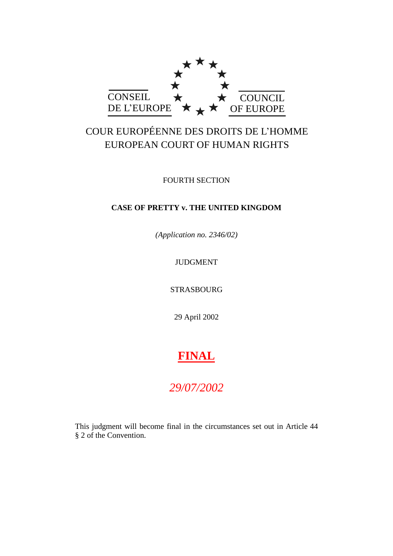

# COUR EUROPÉENNE DES DROITS DE L'HOMME EUROPEAN COURT OF HUMAN RIGHTS

FOURTH SECTION

# **CASE OF PRETTY v. THE UNITED KINGDOM**

*(Application no. 2346/02)*

# JUDGMENT

STRASBOURG

29 April 2002

# **FINAL**

# *29/07/2002*

This judgment will become final in the circumstances set out in Article 44 § 2 of the Convention.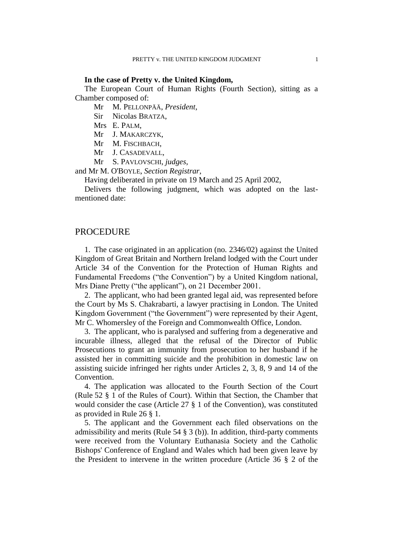## **In the case of Pretty v. the United Kingdom,**

The European Court of Human Rights (Fourth Section), sitting as a Chamber composed of:

Mr M. PELLONPÄÄ, *President*,

Sir Nicolas BRATZA,

Mrs E. PALM,

Mr J. MAKARCZYK,

Mr M. FISCHBACH,

Mr J. CASADEVALL,

Mr S. PAVLOVSCHI, *judges*,

and Mr M. O'BOYLE, *Section Registrar*,

Having deliberated in private on 19 March and 25 April 2002,

Delivers the following judgment, which was adopted on the lastmentioned date:

## **PROCEDURE**

1. The case originated in an application (no. 2346/02) against the United Kingdom of Great Britain and Northern Ireland lodged with the Court under Article 34 of the Convention for the Protection of Human Rights and Fundamental Freedoms ("the Convention") by a United Kingdom national, Mrs Diane Pretty ("the applicant"), on 21 December 2001.

2. The applicant, who had been granted legal aid, was represented before the Court by Ms S. Chakrabarti, a lawyer practising in London. The United Kingdom Government ("the Government") were represented by their Agent, Mr C. Whomersley of the Foreign and Commonwealth Office, London.

3. The applicant, who is paralysed and suffering from a degenerative and incurable illness, alleged that the refusal of the Director of Public Prosecutions to grant an immunity from prosecution to her husband if he assisted her in committing suicide and the prohibition in domestic law on assisting suicide infringed her rights under Articles 2, 3, 8, 9 and 14 of the Convention.

4. The application was allocated to the Fourth Section of the Court (Rule 52 § 1 of the Rules of Court). Within that Section, the Chamber that would consider the case (Article 27 § 1 of the Convention), was constituted as provided in Rule 26 § 1.

5. The applicant and the Government each filed observations on the admissibility and merits (Rule 54 § 3 (b)). In addition, third-party comments were received from the Voluntary Euthanasia Society and the Catholic Bishops' Conference of England and Wales which had been given leave by the President to intervene in the written procedure (Article 36 § 2 of the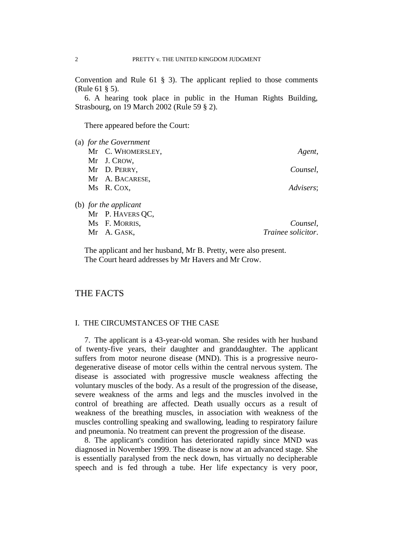Convention and Rule 61 § 3). The applicant replied to those comments (Rule 61 § 5).

6. A hearing took place in public in the Human Rights Building, Strasbourg, on 19 March 2002 (Rule 59 § 2).

There appeared before the Court:

| (a) for the Government |           |
|------------------------|-----------|
| Mr C. WHOMERSLEY,      | Agent,    |
| Mr J. CROW,            |           |
| Mr D. PERRY,           | Counsel,  |
| Mr A. BACARESE,        |           |
| Ms R. Cox,             | Advisers; |
| (b) for the applicant  |           |
| Mr P. HAVERS QC,       |           |
| Ms F. MORRIS,          | Counsel,  |

Mr A. GASK, *Trainee solicitor*.

The applicant and her husband, Mr B. Pretty, were also present. The Court heard addresses by Mr Havers and Mr Crow.

## THE FACTS

## I. THE CIRCUMSTANCES OF THE CASE

7. The applicant is a 43-year-old woman. She resides with her husband of twenty-five years, their daughter and granddaughter. The applicant suffers from motor neurone disease (MND). This is a progressive neurodegenerative disease of motor cells within the central nervous system. The disease is associated with progressive muscle weakness affecting the voluntary muscles of the body. As a result of the progression of the disease, severe weakness of the arms and legs and the muscles involved in the control of breathing are affected. Death usually occurs as a result of weakness of the breathing muscles, in association with weakness of the muscles controlling speaking and swallowing, leading to respiratory failure and pneumonia. No treatment can prevent the progression of the disease.

8. The applicant's condition has deteriorated rapidly since MND was diagnosed in November 1999. The disease is now at an advanced stage. She is essentially paralysed from the neck down, has virtually no decipherable speech and is fed through a tube. Her life expectancy is very poor,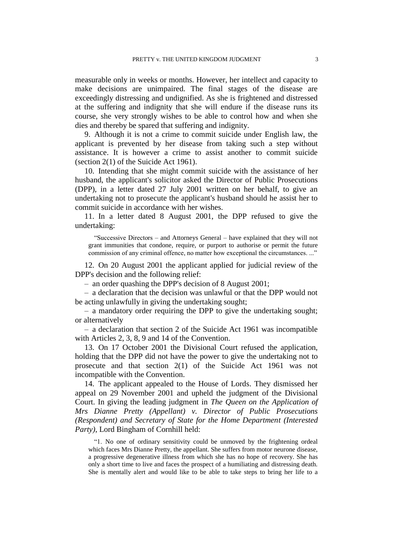measurable only in weeks or months. However, her intellect and capacity to make decisions are unimpaired. The final stages of the disease are exceedingly distressing and undignified. As she is frightened and distressed at the suffering and indignity that she will endure if the disease runs its course, she very strongly wishes to be able to control how and when she dies and thereby be spared that suffering and indignity.

9. Although it is not a crime to commit suicide under English law, the applicant is prevented by her disease from taking such a step without assistance. It is however a crime to assist another to commit suicide (section 2(1) of the Suicide Act 1961).

10. Intending that she might commit suicide with the assistance of her husband, the applicant's solicitor asked the Director of Public Prosecutions (DPP), in a letter dated 27 July 2001 written on her behalf, to give an undertaking not to prosecute the applicant's husband should he assist her to commit suicide in accordance with her wishes.

11. In a letter dated 8 August 2001, the DPP refused to give the undertaking:

"Successive Directors – and Attorneys General – have explained that they will not grant immunities that condone, require, or purport to authorise or permit the future commission of any criminal offence, no matter how exceptional the circumstances. ..."

12. On 20 August 2001 the applicant applied for judicial review of the DPP's decision and the following relief:

– an order quashing the DPP's decision of 8 August 2001;

– a declaration that the decision was unlawful or that the DPP would not be acting unlawfully in giving the undertaking sought;

– a mandatory order requiring the DPP to give the undertaking sought; or alternatively

– a declaration that section 2 of the Suicide Act 1961 was incompatible with Articles 2, 3, 8, 9 and 14 of the Convention.

13. On 17 October 2001 the Divisional Court refused the application, holding that the DPP did not have the power to give the undertaking not to prosecute and that section 2(1) of the Suicide Act 1961 was not incompatible with the Convention.

14. The applicant appealed to the House of Lords. They dismissed her appeal on 29 November 2001 and upheld the judgment of the Divisional Court. In giving the leading judgment in *The Queen on the Application of Mrs Dianne Pretty (Appellant) v. Director of Public Prosecutions (Respondent) and Secretary of State for the Home Department (Interested Party)*, Lord Bingham of Cornhill held:

"1. No one of ordinary sensitivity could be unmoved by the frightening ordeal which faces Mrs Dianne Pretty, the appellant. She suffers from motor neurone disease, a progressive degenerative illness from which she has no hope of recovery. She has only a short time to live and faces the prospect of a humiliating and distressing death. She is mentally alert and would like to be able to take steps to bring her life to a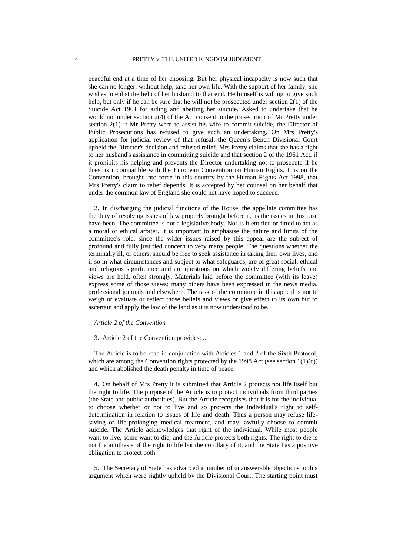peaceful end at a time of her choosing. But her physical incapacity is now such that she can no longer, without help, take her own life. With the support of her family, she wishes to enlist the help of her husband to that end. He himself is willing to give such help, but only if he can be sure that he will not be prosecuted under section 2(1) of the Suicide Act 1961 for aiding and abetting her suicide. Asked to undertake that he would not under section 2(4) of the Act consent to the prosecution of Mr Pretty under section  $2(1)$  if Mr Pretty were to assist his wife to commit suicide, the Director of Public Prosecutions has refused to give such an undertaking. On Mrs Pretty's application for judicial review of that refusal, the Queen's Bench Divisional Court upheld the Director's decision and refused relief. Mrs Pretty claims that she has a right to her husband's assistance in committing suicide and that section 2 of the 1961 Act, if it prohibits his helping and prevents the Director undertaking not to prosecute if he does, is incompatible with the European Convention on Human Rights. It is on the Convention, brought into force in this country by the Human Rights Act 1998, that Mrs Pretty's claim to relief depends. It is accepted by her counsel on her behalf that under the common law of England she could not have hoped to succeed.

2. In discharging the judicial functions of the House, the appellate committee has the duty of resolving issues of law properly brought before it, as the issues in this case have been. The committee is not a legislative body. Nor is it entitled or fitted to act as a moral or ethical arbiter. It is important to emphasise the nature and limits of the committee's role, since the wider issues raised by this appeal are the subject of profound and fully justified concern to very many people. The questions whether the terminally ill, or others, should be free to seek assistance in taking their own lives, and if so in what circumstances and subject to what safeguards, are of great social, ethical and religious significance and are questions on which widely differing beliefs and views are held, often strongly. Materials laid before the committee (with its leave) express some of those views; many others have been expressed in the news media, professional journals and elsewhere. The task of the committee in this appeal is not to weigh or evaluate or reflect those beliefs and views or give effect to its own but to ascertain and apply the law of the land as it is now understood to be.

#### *Article 2 of the Convention*

#### 3. Article 2 of the Convention provides: ...

The Article is to be read in conjunction with Articles 1 and 2 of the Sixth Protocol, which are among the Convention rights protected by the 1998 Act (see section  $1(1)(c)$ ) and which abolished the death penalty in time of peace.

4. On behalf of Mrs Pretty it is submitted that Article 2 protects not life itself but the right to life. The purpose of the Article is to protect individuals from third parties (the State and public authorities). But the Article recognises that it is for the individual to choose whether or not to live and so protects the individual's right to selfdetermination in relation to issues of life and death. Thus a person may refuse lifesaving or life-prolonging medical treatment, and may lawfully choose to commit suicide. The Article acknowledges that right of the individual. While most people want to live, some want to die, and the Article protects both rights. The right to die is not the antithesis of the right to life but the corollary of it, and the State has a positive obligation to protect both.

5. The Secretary of State has advanced a number of unanswerable objections to this argument which were rightly upheld by the Divisional Court. The starting point must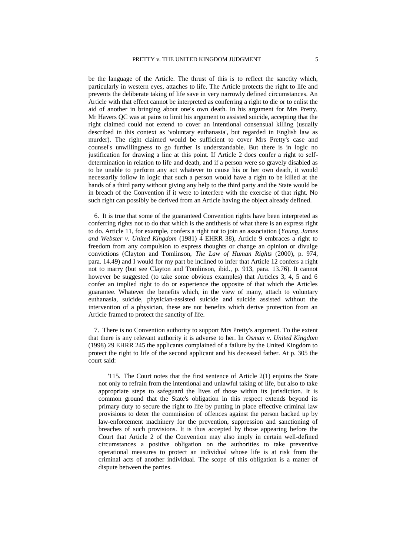be the language of the Article. The thrust of this is to reflect the sanctity which, particularly in western eyes, attaches to life. The Article protects the right to life and prevents the deliberate taking of life save in very narrowly defined circumstances. An Article with that effect cannot be interpreted as conferring a right to die or to enlist the aid of another in bringing about one's own death. In his argument for Mrs Pretty, Mr Havers QC was at pains to limit his argument to assisted suicide, accepting that the right claimed could not extend to cover an intentional consensual killing (usually described in this context as 'voluntary euthanasia', but regarded in English law as murder). The right claimed would be sufficient to cover Mrs Pretty's case and counsel's unwillingness to go further is understandable. But there is in logic no justification for drawing a line at this point. If Article 2 does confer a right to selfdetermination in relation to life and death, and if a person were so gravely disabled as to be unable to perform any act whatever to cause his or her own death, it would necessarily follow in logic that such a person would have a right to be killed at the hands of a third party without giving any help to the third party and the State would be in breach of the Convention if it were to interfere with the exercise of that right. No such right can possibly be derived from an Article having the object already defined.

6. It is true that some of the guaranteed Convention rights have been interpreted as conferring rights not to do that which is the antithesis of what there is an express right to do. Article 11, for example, confers a right not to join an association (*Young, James and Webster v. United Kingdom* (1981) 4 EHRR 38), Article 9 embraces a right to freedom from any compulsion to express thoughts or change an opinion or divulge convictions (Clayton and Tomlinson, *The Law of Human Rights* (2000), p. 974, para. 14.49) and I would for my part be inclined to infer that Article 12 confers a right not to marry (but see Clayton and Tomlinson, ibid., p. 913, para. 13.76). It cannot however be suggested (to take some obvious examples) that Articles 3, 4, 5 and 6 confer an implied right to do or experience the opposite of that which the Articles guarantee. Whatever the benefits which, in the view of many, attach to voluntary euthanasia, suicide, physician-assisted suicide and suicide assisted without the intervention of a physician, these are not benefits which derive protection from an Article framed to protect the sanctity of life.

7. There is no Convention authority to support Mrs Pretty's argument. To the extent that there is any relevant authority it is adverse to her. In *Osman v. United Kingdom*  (1998) 29 EHRR 245 the applicants complained of a failure by the United Kingdom to protect the right to life of the second applicant and his deceased father. At p. 305 the court said:

'115. The Court notes that the first sentence of Article 2(1) enjoins the State not only to refrain from the intentional and unlawful taking of life, but also to take appropriate steps to safeguard the lives of those within its jurisdiction. It is common ground that the State's obligation in this respect extends beyond its primary duty to secure the right to life by putting in place effective criminal law provisions to deter the commission of offences against the person backed up by law-enforcement machinery for the prevention, suppression and sanctioning of breaches of such provisions. It is thus accepted by those appearing before the Court that Article 2 of the Convention may also imply in certain well-defined circumstances a positive obligation on the authorities to take preventive operational measures to protect an individual whose life is at risk from the criminal acts of another individual. The scope of this obligation is a matter of dispute between the parties.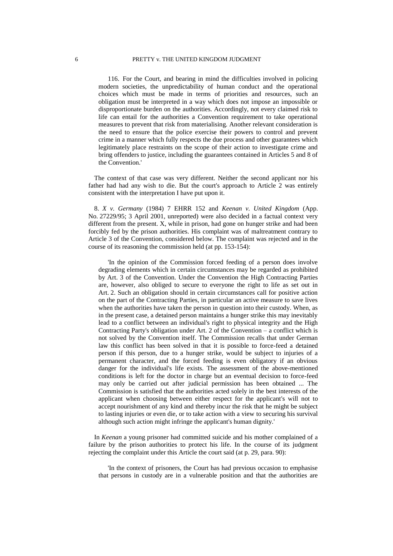116. For the Court, and bearing in mind the difficulties involved in policing modern societies, the unpredictability of human conduct and the operational choices which must be made in terms of priorities and resources, such an obligation must be interpreted in a way which does not impose an impossible or disproportionate burden on the authorities. Accordingly, not every claimed risk to life can entail for the authorities a Convention requirement to take operational measures to prevent that risk from materialising. Another relevant consideration is the need to ensure that the police exercise their powers to control and prevent crime in a manner which fully respects the due process and other guarantees which legitimately place restraints on the scope of their action to investigate crime and bring offenders to justice, including the guarantees contained in Articles 5 and 8 of the Convention.'

The context of that case was very different. Neither the second applicant nor his father had had any wish to die. But the court's approach to Article 2 was entirely consistent with the interpretation I have put upon it.

8. *X v. Germany* (1984) 7 EHRR 152 and *Keenan v. United Kingdom* (App. No. 27229/95; 3 April 2001, unreported) were also decided in a factual context very different from the present. X, while in prison, had gone on hunger strike and had been forcibly fed by the prison authorities. His complaint was of maltreatment contrary to Article 3 of the Convention, considered below. The complaint was rejected and in the course of its reasoning the commission held (at pp. 153-154):

'In the opinion of the Commission forced feeding of a person does involve degrading elements which in certain circumstances may be regarded as prohibited by Art. 3 of the Convention. Under the Convention the High Contracting Parties are, however, also obliged to secure to everyone the right to life as set out in Art. 2. Such an obligation should in certain circumstances call for positive action on the part of the Contracting Parties, in particular an active measure to save lives when the authorities have taken the person in question into their custody. When, as in the present case, a detained person maintains a hunger strike this may inevitably lead to a conflict between an individual's right to physical integrity and the High Contracting Party's obligation under Art. 2 of the Convention – a conflict which is not solved by the Convention itself. The Commission recalls that under German law this conflict has been solved in that it is possible to force-feed a detained person if this person, due to a hunger strike, would be subject to injuries of a permanent character, and the forced feeding is even obligatory if an obvious danger for the individual's life exists. The assessment of the above-mentioned conditions is left for the doctor in charge but an eventual decision to force-feed may only be carried out after judicial permission has been obtained ... The Commission is satisfied that the authorities acted solely in the best interests of the applicant when choosing between either respect for the applicant's will not to accept nourishment of any kind and thereby incur the risk that he might be subject to lasting injuries or even die, or to take action with a view to securing his survival although such action might infringe the applicant's human dignity.'

In *Keenan* a young prisoner had committed suicide and his mother complained of a failure by the prison authorities to protect his life. In the course of its judgment rejecting the complaint under this Article the court said (at p. 29, para. 90):

'In the context of prisoners, the Court has had previous occasion to emphasise that persons in custody are in a vulnerable position and that the authorities are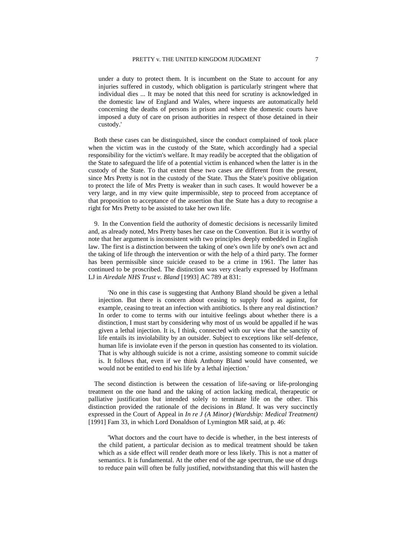under a duty to protect them. It is incumbent on the State to account for any injuries suffered in custody, which obligation is particularly stringent where that individual dies ... It may be noted that this need for scrutiny is acknowledged in the domestic law of England and Wales, where inquests are automatically held concerning the deaths of persons in prison and where the domestic courts have imposed a duty of care on prison authorities in respect of those detained in their custody.'

Both these cases can be distinguished, since the conduct complained of took place when the victim was in the custody of the State, which accordingly had a special responsibility for the victim's welfare. It may readily be accepted that the obligation of the State to safeguard the life of a potential victim is enhanced when the latter is in the custody of the State. To that extent these two cases are different from the present, since Mrs Pretty is not in the custody of the State. Thus the State's positive obligation to protect the life of Mrs Pretty is weaker than in such cases. It would however be a very large, and in my view quite impermissible, step to proceed from acceptance of that proposition to acceptance of the assertion that the State has a duty to recognise a right for Mrs Pretty to be assisted to take her own life.

9. In the Convention field the authority of domestic decisions is necessarily limited and, as already noted, Mrs Pretty bases her case on the Convention. But it is worthy of note that her argument is inconsistent with two principles deeply embedded in English law. The first is a distinction between the taking of one's own life by one's own act and the taking of life through the intervention or with the help of a third party. The former has been permissible since suicide ceased to be a crime in 1961. The latter has continued to be proscribed. The distinction was very clearly expressed by Hoffmann LJ in *Airedale NHS Trust v. Bland* [1993] AC 789 at 831:

'No one in this case is suggesting that Anthony Bland should be given a lethal injection. But there is concern about ceasing to supply food as against, for example, ceasing to treat an infection with antibiotics. Is there any real distinction? In order to come to terms with our intuitive feelings about whether there is a distinction, I must start by considering why most of us would be appalled if he was given a lethal injection. It is, I think, connected with our view that the sanctity of life entails its inviolability by an outsider. Subject to exceptions like self-defence, human life is inviolate even if the person in question has consented to its violation. That is why although suicide is not a crime, assisting someone to commit suicide is. It follows that, even if we think Anthony Bland would have consented, we would not be entitled to end his life by a lethal injection.'

The second distinction is between the cessation of life-saving or life-prolonging treatment on the one hand and the taking of action lacking medical, therapeutic or palliative justification but intended solely to terminate life on the other. This distinction provided the rationale of the decisions in *Bland*. It was very succinctly expressed in the Court of Appeal in *In re J (A Minor) (Wardship: Medical Treatment)*  [1991] Fam 33, in which Lord Donaldson of Lymington MR said, at p. 46:

'What doctors and the court have to decide is whether, in the best interests of the child patient, a particular decision as to medical treatment should be taken which as a side effect will render death more or less likely. This is not a matter of semantics. It is fundamental. At the other end of the age spectrum, the use of drugs to reduce pain will often be fully justified, notwithstanding that this will hasten the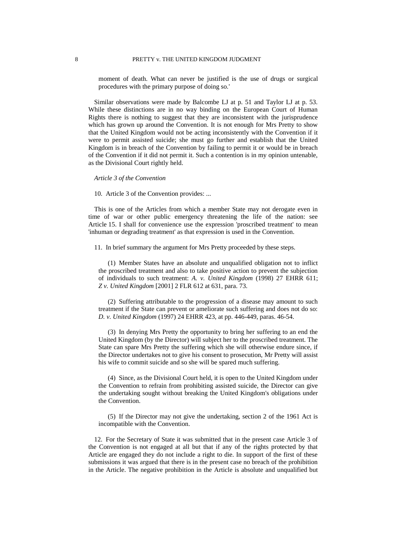moment of death. What can never be justified is the use of drugs or surgical procedures with the primary purpose of doing so.'

Similar observations were made by Balcombe LJ at p. 51 and Taylor LJ at p. 53. While these distinctions are in no way binding on the European Court of Human Rights there is nothing to suggest that they are inconsistent with the jurisprudence which has grown up around the Convention. It is not enough for Mrs Pretty to show that the United Kingdom would not be acting inconsistently with the Convention if it were to permit assisted suicide; she must go further and establish that the United Kingdom is in breach of the Convention by failing to permit it or would be in breach of the Convention if it did not permit it. Such a contention is in my opinion untenable, as the Divisional Court rightly held.

#### *Article 3 of the Convention*

10. Article 3 of the Convention provides: ...

This is one of the Articles from which a member State may not derogate even in time of war or other public emergency threatening the life of the nation: see Article 15. I shall for convenience use the expression 'proscribed treatment' to mean 'inhuman or degrading treatment' as that expression is used in the Convention.

11. In brief summary the argument for Mrs Pretty proceeded by these steps.

(1) Member States have an absolute and unqualified obligation not to inflict the proscribed treatment and also to take positive action to prevent the subjection of individuals to such treatment: *A. v. United Kingdom* (1998) 27 EHRR 611; *Z v. United Kingdom* [2001] 2 FLR 612 at 631, para. 73.

(2) Suffering attributable to the progression of a disease may amount to such treatment if the State can prevent or ameliorate such suffering and does not do so: *D. v. United Kingdom* (1997) 24 EHRR 423, at pp. 446-449, paras. 46-54.

(3) In denying Mrs Pretty the opportunity to bring her suffering to an end the United Kingdom (by the Director) will subject her to the proscribed treatment. The State can spare Mrs Pretty the suffering which she will otherwise endure since, if the Director undertakes not to give his consent to prosecution, Mr Pretty will assist his wife to commit suicide and so she will be spared much suffering.

(4) Since, as the Divisional Court held, it is open to the United Kingdom under the Convention to refrain from prohibiting assisted suicide, the Director can give the undertaking sought without breaking the United Kingdom's obligations under the Convention.

(5) If the Director may not give the undertaking, section 2 of the 1961 Act is incompatible with the Convention.

12. For the Secretary of State it was submitted that in the present case Article 3 of the Convention is not engaged at all but that if any of the rights protected by that Article are engaged they do not include a right to die. In support of the first of these submissions it was argued that there is in the present case no breach of the prohibition in the Article. The negative prohibition in the Article is absolute and unqualified but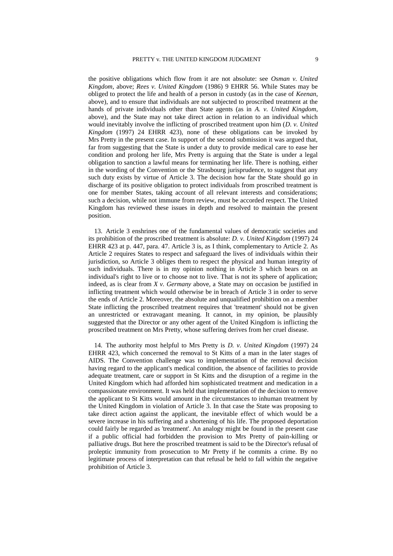the positive obligations which flow from it are not absolute: see *Osman v. United Kingdom*, above; *Rees v. United Kingdom* (1986) 9 EHRR 56. While States may be obliged to protect the life and health of a person in custody (as in the case of *Keenan*, above), and to ensure that individuals are not subjected to proscribed treatment at the hands of private individuals other than State agents (as in *A. v. United Kingdom*, above), and the State may not take direct action in relation to an individual which would inevitably involve the inflicting of proscribed treatment upon him (*D. v. United Kingdom* (1997) 24 EHRR 423), none of these obligations can be invoked by Mrs Pretty in the present case. In support of the second submission it was argued that, far from suggesting that the State is under a duty to provide medical care to ease her condition and prolong her life, Mrs Pretty is arguing that the State is under a legal obligation to sanction a lawful means for terminating her life. There is nothing, either in the wording of the Convention or the Strasbourg jurisprudence, to suggest that any such duty exists by virtue of Article 3. The decision how far the State should go in discharge of its positive obligation to protect individuals from proscribed treatment is one for member States, taking account of all relevant interests and considerations; such a decision, while not immune from review, must be accorded respect. The United Kingdom has reviewed these issues in depth and resolved to maintain the present position.

13. Article 3 enshrines one of the fundamental values of democratic societies and its prohibition of the proscribed treatment is absolute: *D. v. United Kingdom* (1997) 24 EHRR 423 at p. 447, para. 47. Article 3 is, as I think, complementary to Article 2. As Article 2 requires States to respect and safeguard the lives of individuals within their jurisdiction, so Article 3 obliges them to respect the physical and human integrity of such individuals. There is in my opinion nothing in Article 3 which bears on an individual's right to live or to choose not to live. That is not its sphere of application; indeed, as is clear from *X v. Germany* above, a State may on occasion be justified in inflicting treatment which would otherwise be in breach of Article 3 in order to serve the ends of Article 2. Moreover, the absolute and unqualified prohibition on a member State inflicting the proscribed treatment requires that 'treatment' should not be given an unrestricted or extravagant meaning. It cannot, in my opinion, be plausibly suggested that the Director or any other agent of the United Kingdom is inflicting the proscribed treatment on Mrs Pretty, whose suffering derives from her cruel disease.

14. The authority most helpful to Mrs Pretty is *D. v. United Kingdom* (1997) 24 EHRR 423, which concerned the removal to St Kitts of a man in the later stages of AIDS. The Convention challenge was to implementation of the removal decision having regard to the applicant's medical condition, the absence of facilities to provide adequate treatment, care or support in St Kitts and the disruption of a regime in the United Kingdom which had afforded him sophisticated treatment and medication in a compassionate environment. It was held that implementation of the decision to remove the applicant to St Kitts would amount in the circumstances to inhuman treatment by the United Kingdom in violation of Article 3. In that case the State was proposing to take direct action against the applicant, the inevitable effect of which would be a severe increase in his suffering and a shortening of his life. The proposed deportation could fairly be regarded as 'treatment'. An analogy might be found in the present case if a public official had forbidden the provision to Mrs Pretty of pain-killing or palliative drugs. But here the proscribed treatment is said to be the Director's refusal of proleptic immunity from prosecution to Mr Pretty if he commits a crime. By no legitimate process of interpretation can that refusal be held to fall within the negative prohibition of Article 3.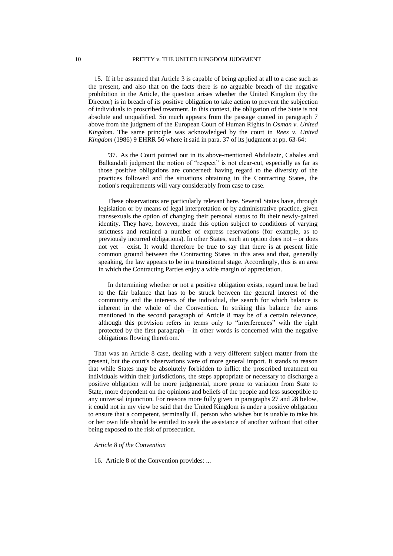15. If it be assumed that Article 3 is capable of being applied at all to a case such as the present, and also that on the facts there is no arguable breach of the negative prohibition in the Article, the question arises whether the United Kingdom (by the Director) is in breach of its positive obligation to take action to prevent the subjection of individuals to proscribed treatment. In this context, the obligation of the State is not absolute and unqualified. So much appears from the passage quoted in paragraph 7 above from the judgment of the European Court of Human Rights in *Osman v. United Kingdom*. The same principle was acknowledged by the court in *Rees v. United Kingdom* (1986) 9 EHRR 56 where it said in para. 37 of its judgment at pp. 63-64:

'37. As the Court pointed out in its above-mentioned Abdulaziz, Cabales and Balkandali judgment the notion of "respect" is not clear-cut, especially as far as those positive obligations are concerned: having regard to the diversity of the practices followed and the situations obtaining in the Contracting States, the notion's requirements will vary considerably from case to case.

These observations are particularly relevant here. Several States have, through legislation or by means of legal interpretation or by administrative practice, given transsexuals the option of changing their personal status to fit their newly-gained identity. They have, however, made this option subject to conditions of varying strictness and retained a number of express reservations (for example, as to previously incurred obligations). In other States, such an option does not – or does not yet – exist. It would therefore be true to say that there is at present little common ground between the Contracting States in this area and that, generally speaking, the law appears to be in a transitional stage. Accordingly, this is an area in which the Contracting Parties enjoy a wide margin of appreciation.

In determining whether or not a positive obligation exists, regard must be had to the fair balance that has to be struck between the general interest of the community and the interests of the individual, the search for which balance is inherent in the whole of the Convention. In striking this balance the aims mentioned in the second paragraph of Article 8 may be of a certain relevance, although this provision refers in terms only to "interferences" with the right protected by the first paragraph – in other words is concerned with the negative obligations flowing therefrom.'

That was an Article 8 case, dealing with a very different subject matter from the present, but the court's observations were of more general import. It stands to reason that while States may be absolutely forbidden to inflict the proscribed treatment on individuals within their jurisdictions, the steps appropriate or necessary to discharge a positive obligation will be more judgmental, more prone to variation from State to State, more dependent on the opinions and beliefs of the people and less susceptible to any universal injunction. For reasons more fully given in paragraphs 27 and 28 below, it could not in my view be said that the United Kingdom is under a positive obligation to ensure that a competent, terminally ill, person who wishes but is unable to take his or her own life should be entitled to seek the assistance of another without that other being exposed to the risk of prosecution.

#### *Article 8 of the Convention*

16. Article 8 of the Convention provides: ...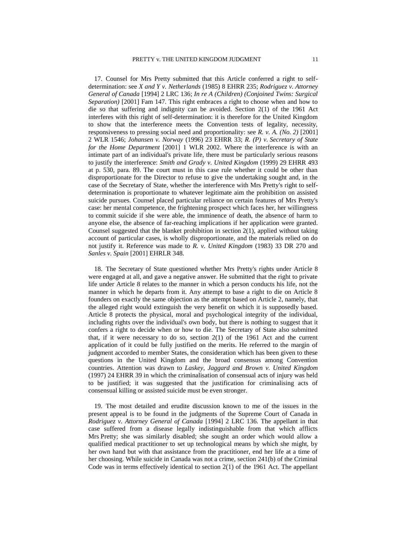17. Counsel for Mrs Pretty submitted that this Article conferred a right to selfdetermination: see *X and Y v. Netherlands* (1985) 8 EHRR 235; *Rodriguez v. Attorney General of Canada* [1994] 2 LRC 136; *In re A (Children) (Conjoined Twins: Surgical Separation)* [2001] Fam 147. This right embraces a right to choose when and how to die so that suffering and indignity can be avoided. Section 2(1) of the 1961 Act interferes with this right of self-determination: it is therefore for the United Kingdom to show that the interference meets the Convention tests of legality, necessity, responsiveness to pressing social need and proportionality: see *R. v. A. (No. 2)* [2001] 2 WLR 1546; *Johansen v. Norway* (1996) 23 EHRR 33; *R. (P) v. Secretary of State for the Home Department* [2001] 1 WLR 2002. Where the interference is with an intimate part of an individual's private life, there must be particularly serious reasons to justify the interference: *Smith and Grady v. United Kingdom* (1999) 29 EHRR 493 at p. 530, para. 89. The court must in this case rule whether it could be other than disproportionate for the Director to refuse to give the undertaking sought and, in the case of the Secretary of State, whether the interference with Mrs Pretty's right to selfdetermination is proportionate to whatever legitimate aim the prohibition on assisted suicide pursues. Counsel placed particular reliance on certain features of Mrs Pretty's case: her mental competence, the frightening prospect which faces her, her willingness to commit suicide if she were able, the imminence of death, the absence of harm to anyone else, the absence of far-reaching implications if her application were granted. Counsel suggested that the blanket prohibition in section 2(1), applied without taking account of particular cases, is wholly disproportionate, and the materials relied on do not justify it. Reference was made to *R. v. United Kingdom* (1983) 33 DR 270 and *Sanles v. Spain* [2001] EHRLR 348.

18. The Secretary of State questioned whether Mrs Pretty's rights under Article 8 were engaged at all, and gave a negative answer. He submitted that the right to private life under Article 8 relates to the manner in which a person conducts his life, not the manner in which he departs from it. Any attempt to base a right to die on Article 8 founders on exactly the same objection as the attempt based on Article 2, namely, that the alleged right would extinguish the very benefit on which it is supposedly based. Article 8 protects the physical, moral and psychological integrity of the individual, including rights over the individual's own body, but there is nothing to suggest that it confers a right to decide when or how to die. The Secretary of State also submitted that, if it were necessary to do so, section 2(1) of the 1961 Act and the current application of it could be fully justified on the merits. He referred to the margin of judgment accorded to member States, the consideration which has been given to these questions in the United Kingdom and the broad consensus among Convention countries. Attention was drawn to *Laskey, Jaggard and Brown v. United Kingdom*  (1997) 24 EHRR 39 in which the criminalisation of consensual acts of injury was held to be justified; it was suggested that the justification for criminalising acts of consensual killing or assisted suicide must be even stronger.

19. The most detailed and erudite discussion known to me of the issues in the present appeal is to be found in the judgments of the Supreme Court of Canada in *Rodriguez v. Attorney General of Canada* [1994] 2 LRC 136. The appellant in that case suffered from a disease legally indistinguishable from that which afflicts Mrs Pretty; she was similarly disabled; she sought an order which would allow a qualified medical practitioner to set up technological means by which she might, by her own hand but with that assistance from the practitioner, end her life at a time of her choosing. While suicide in Canada was not a crime, section 241(b) of the Criminal Code was in terms effectively identical to section 2(1) of the 1961 Act. The appellant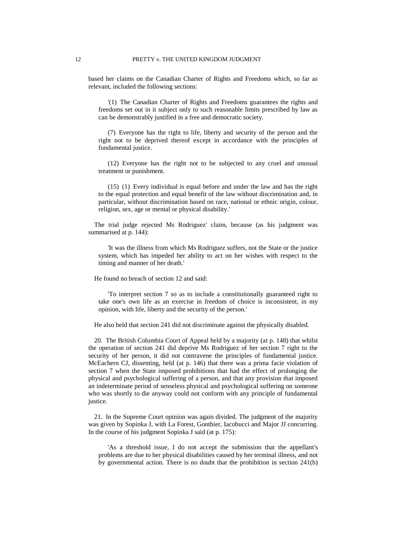based her claims on the Canadian Charter of Rights and Freedoms which, so far as relevant, included the following sections:

'(1) The Canadian Charter of Rights and Freedoms guarantees the rights and freedoms set out in it subject only to such reasonable limits prescribed by law as can be demonstrably justified in a free and democratic society.

(7) Everyone has the right to life, liberty and security of the person and the right not to be deprived thereof except in accordance with the principles of fundamental justice.

(12) Everyone has the right not to be subjected to any cruel and unusual treatment or punishment.

(15) (1) Every individual is equal before and under the law and has the right to the equal protection and equal benefit of the law without discrimination and, in particular, without discrimination based on race, national or ethnic origin, colour, religion, sex, age or mental or physical disability.'

The trial judge rejected Ms Rodriguez' claim, because (as his judgment was summarised at p. 144):

'It was the illness from which Ms Rodriguez suffers, not the State or the justice system, which has impeded her ability to act on her wishes with respect to the timing and manner of her death.'

He found no breach of section 12 and said:

'To interpret section 7 so as to include a constitutionally guaranteed right to take one's own life as an exercise in freedom of choice is inconsistent, in my opinion, with life, liberty and the security of the person.'

He also held that section 241 did not discriminate against the physically disabled.

20. The British Columbia Court of Appeal held by a majority (at p. 148) that whilst the operation of section 241 did deprive Ms Rodriguez of her section 7 right to the security of her person, it did not contravene the principles of fundamental justice. McEachern CJ, dissenting, held (at p. 146) that there was a prima facie violation of section 7 when the State imposed prohibitions that had the effect of prolonging the physical and psychological suffering of a person, and that any provision that imposed an indeterminate period of senseless physical and psychological suffering on someone who was shortly to die anyway could not conform with any principle of fundamental justice.

21. In the Supreme Court opinion was again divided. The judgment of the majority was given by Sopinka J, with La Forest, Gonthier, Iacobucci and Major JJ concurring. In the course of his judgment Sopinka J said (at p. 175):

'As a threshold issue, I do not accept the submission that the appellant's problems are due to her physical disabilities caused by her terminal illness, and not by governmental action. There is no doubt that the prohibition in section 241(b)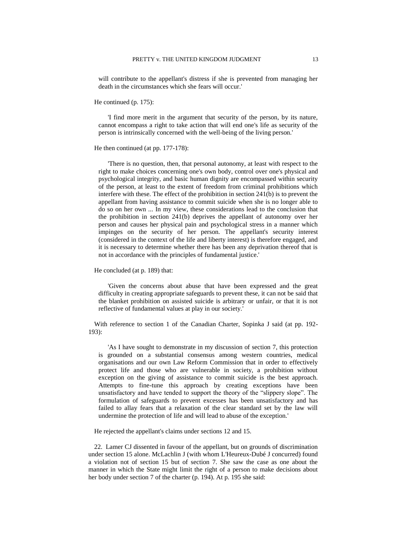will contribute to the appellant's distress if she is prevented from managing her death in the circumstances which she fears will occur.'

#### He continued (p. 175):

'I find more merit in the argument that security of the person, by its nature, cannot encompass a right to take action that will end one's life as security of the person is intrinsically concerned with the well-being of the living person.'

#### He then continued (at pp. 177-178):

'There is no question, then, that personal autonomy, at least with respect to the right to make choices concerning one's own body, control over one's physical and psychological integrity, and basic human dignity are encompassed within security of the person, at least to the extent of freedom from criminal prohibitions which interfere with these. The effect of the prohibition in section 241(b) is to prevent the appellant from having assistance to commit suicide when she is no longer able to do so on her own ... In my view, these considerations lead to the conclusion that the prohibition in section 241(b) deprives the appellant of autonomy over her person and causes her physical pain and psychological stress in a manner which impinges on the security of her person. The appellant's security interest (considered in the context of the life and liberty interest) is therefore engaged, and it is necessary to determine whether there has been any deprivation thereof that is not in accordance with the principles of fundamental justice.'

#### He concluded (at p. 189) that:

'Given the concerns about abuse that have been expressed and the great difficulty in creating appropriate safeguards to prevent these, it can not be said that the blanket prohibition on assisted suicide is arbitrary or unfair, or that it is not reflective of fundamental values at play in our society.'

With reference to section 1 of the Canadian Charter, Sopinka J said (at pp. 192-193):

'As I have sought to demonstrate in my discussion of section 7, this protection is grounded on a substantial consensus among western countries, medical organisations and our own Law Reform Commission that in order to effectively protect life and those who are vulnerable in society, a prohibition without exception on the giving of assistance to commit suicide is the best approach. Attempts to fine-tune this approach by creating exceptions have been unsatisfactory and have tended to support the theory of the "slippery slope". The formulation of safeguards to prevent excesses has been unsatisfactory and has failed to allay fears that a relaxation of the clear standard set by the law will undermine the protection of life and will lead to abuse of the exception.'

He rejected the appellant's claims under sections 12 and 15.

22. Lamer CJ dissented in favour of the appellant, but on grounds of discrimination under section 15 alone. McLachlin J (with whom L'Heureux-Dubé J concurred) found a violation not of section 15 but of section 7. She saw the case as one about the manner in which the State might limit the right of a person to make decisions about her body under section 7 of the charter (p. 194). At p. 195 she said: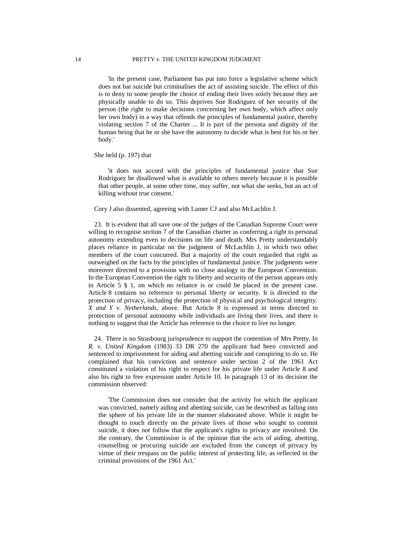'In the present case, Parliament has put into force a legislative scheme which does not bar suicide but criminalises the act of assisting suicide. The effect of this is to deny to some people the choice of ending their lives solely because they are physically unable to do so. This deprives Sue Rodriguez of her security of the person (the right to make decisions concerning her own body, which affect only her own body) in a way that offends the principles of fundamental justice, thereby violating section 7 of the Charter ... It is part of the persona and dignity of the human being that he or she have the autonomy to decide what is best for his or her body.'

#### She held (p. 197) that

'it does not accord with the principles of fundamental justice that Sue Rodriguez be disallowed what is available to others merely because it is possible that other people, at some other time, may suffer, not what she seeks, but an act of killing without true consent.'

Cory J also dissented, agreeing with Lamer CJ and also McLachlin J.

23. It is evident that all save one of the judges of the Canadian Supreme Court were willing to recognise section 7 of the Canadian charter as conferring a right to personal autonomy extending even to decisions on life and death. Mrs Pretty understandably places reliance in particular on the judgment of McLachlin J, in which two other members of the court concurred. But a majority of the court regarded that right as outweighed on the facts by the principles of fundamental justice. The judgments were moreover directed to a provision with no close analogy in the European Convention. In the European Convention the right to liberty and security of the person appears only in Article 5 § 1, on which no reliance is or could be placed in the present case. Article 8 contains no reference to personal liberty or security. It is directed to the protection of privacy, including the protection of physical and psychological integrity: *X and Y v. Netherlands*, above. But Article 8 is expressed in terms directed to protection of personal autonomy while individuals are living their lives, and there is nothing to suggest that the Article has reference to the choice to live no longer.

24. There is no Strasbourg jurisprudence to support the contention of Mrs Pretty. In *R. v. United Kingdom* (1983) 33 DR 270 the applicant had been convicted and sentenced to imprisonment for aiding and abetting suicide and conspiring to do so. He complained that his conviction and sentence under section 2 of the 1961 Act constituted a violation of his right to respect for his private life under Article 8 and also his right to free expression under Article 10. In paragraph 13 of its decision the commission observed:

'The Commission does not consider that the activity for which the applicant was convicted, namely aiding and abetting suicide, can be described as falling into the sphere of his private life in the manner elaborated above. While it might be thought to touch directly on the private lives of those who sought to commit suicide, it does not follow that the applicant's rights to privacy are involved. On the contrary, the Commission is of the opinion that the acts of aiding, abetting, counselling or procuring suicide are excluded from the concept of privacy by virtue of their trespass on the public interest of protecting life, as reflected in the criminal provisions of the 1961 Act.'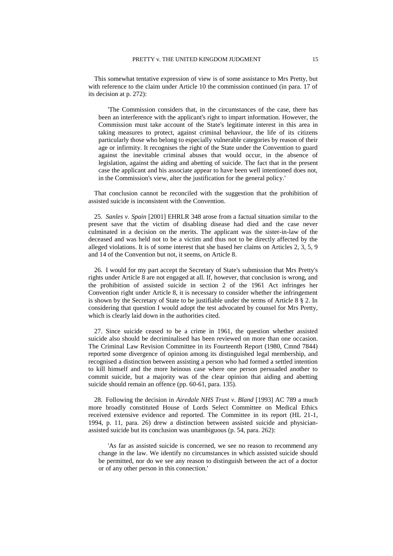This somewhat tentative expression of view is of some assistance to Mrs Pretty, but with reference to the claim under Article 10 the commission continued (in para. 17 of its decision at p. 272):

'The Commission considers that, in the circumstances of the case, there has been an interference with the applicant's right to impart information. However, the Commission must take account of the State's legitimate interest in this area in taking measures to protect, against criminal behaviour, the life of its citizens particularly those who belong to especially vulnerable categories by reason of their age or infirmity. It recognises the right of the State under the Convention to guard against the inevitable criminal abuses that would occur, in the absence of legislation, against the aiding and abetting of suicide. The fact that in the present case the applicant and his associate appear to have been well intentioned does not, in the Commission's view, alter the justification for the general policy.'

That conclusion cannot be reconciled with the suggestion that the prohibition of assisted suicide is inconsistent with the Convention.

25. *Sanles v. Spain* [2001] EHRLR 348 arose from a factual situation similar to the present save that the victim of disabling disease had died and the case never culminated in a decision on the merits. The applicant was the sister-in-law of the deceased and was held not to be a victim and thus not to be directly affected by the alleged violations. It is of some interest that she based her claims on Articles 2, 3, 5, 9 and 14 of the Convention but not, it seems, on Article 8.

26. I would for my part accept the Secretary of State's submission that Mrs Pretty's rights under Article 8 are not engaged at all. If, however, that conclusion is wrong, and the prohibition of assisted suicide in section 2 of the 1961 Act infringes her Convention right under Article 8, it is necessary to consider whether the infringement is shown by the Secretary of State to be justifiable under the terms of Article 8 § 2. In considering that question I would adopt the test advocated by counsel for Mrs Pretty, which is clearly laid down in the authorities cited.

27. Since suicide ceased to be a crime in 1961, the question whether assisted suicide also should be decriminalised has been reviewed on more than one occasion. The Criminal Law Revision Committee in its Fourteenth Report (1980, Cmnd 7844) reported some divergence of opinion among its distinguished legal membership, and recognised a distinction between assisting a person who had formed a settled intention to kill himself and the more heinous case where one person persuaded another to commit suicide, but a majority was of the clear opinion that aiding and abetting suicide should remain an offence (pp. 60-61, para. 135).

28. Following the decision in *Airedale NHS Trust v. Bland* [1993] AC 789 a much more broadly constituted House of Lords Select Committee on Medical Ethics received extensive evidence and reported. The Committee in its report (HL 21-1, 1994, p. 11, para. 26) drew a distinction between assisted suicide and physicianassisted suicide but its conclusion was unambiguous (p. 54, para. 262):

'As far as assisted suicide is concerned, we see no reason to recommend any change in the law. We identify no circumstances in which assisted suicide should be permitted, nor do we see any reason to distinguish between the act of a doctor or of any other person in this connection.'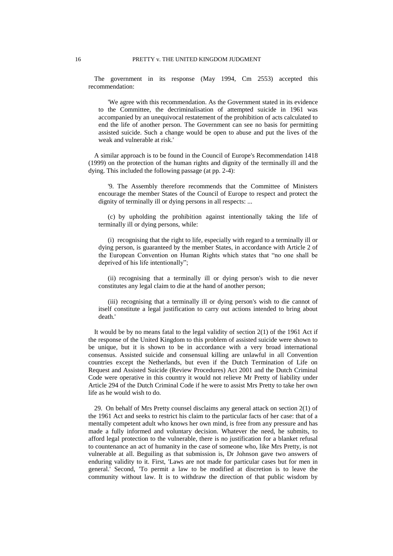The government in its response (May 1994, Cm 2553) accepted this recommendation:

'We agree with this recommendation. As the Government stated in its evidence to the Committee, the decriminalisation of attempted suicide in 1961 was accompanied by an unequivocal restatement of the prohibition of acts calculated to end the life of another person. The Government can see no basis for permitting assisted suicide. Such a change would be open to abuse and put the lives of the weak and vulnerable at risk.'

A similar approach is to be found in the Council of Europe's Recommendation 1418 (1999) on the protection of the human rights and dignity of the terminally ill and the dying. This included the following passage (at pp. 2-4):

'9. The Assembly therefore recommends that the Committee of Ministers encourage the member States of the Council of Europe to respect and protect the dignity of terminally ill or dying persons in all respects: ...

(c) by upholding the prohibition against intentionally taking the life of terminally ill or dying persons, while:

(i) recognising that the right to life, especially with regard to a terminally ill or dying person, is guaranteed by the member States, in accordance with Article 2 of the European Convention on Human Rights which states that "no one shall be deprived of his life intentionally";

(ii) recognising that a terminally ill or dying person's wish to die never constitutes any legal claim to die at the hand of another person;

(iii) recognising that a terminally ill or dying person's wish to die cannot of itself constitute a legal justification to carry out actions intended to bring about death.'

It would be by no means fatal to the legal validity of section  $2(1)$  of the 1961 Act if the response of the United Kingdom to this problem of assisted suicide were shown to be unique, but it is shown to be in accordance with a very broad international consensus. Assisted suicide and consensual killing are unlawful in all Convention countries except the Netherlands, but even if the Dutch Termination of Life on Request and Assisted Suicide (Review Procedures) Act 2001 and the Dutch Criminal Code were operative in this country it would not relieve Mr Pretty of liability under Article 294 of the Dutch Criminal Code if he were to assist Mrs Pretty to take her own life as he would wish to do.

29. On behalf of Mrs Pretty counsel disclaims any general attack on section 2(1) of the 1961 Act and seeks to restrict his claim to the particular facts of her case: that of a mentally competent adult who knows her own mind, is free from any pressure and has made a fully informed and voluntary decision. Whatever the need, he submits, to afford legal protection to the vulnerable, there is no justification for a blanket refusal to countenance an act of humanity in the case of someone who, like Mrs Pretty, is not vulnerable at all. Beguiling as that submission is, Dr Johnson gave two answers of enduring validity to it. First, 'Laws are not made for particular cases but for men in general.' Second, 'To permit a law to be modified at discretion is to leave the community without law. It is to withdraw the direction of that public wisdom by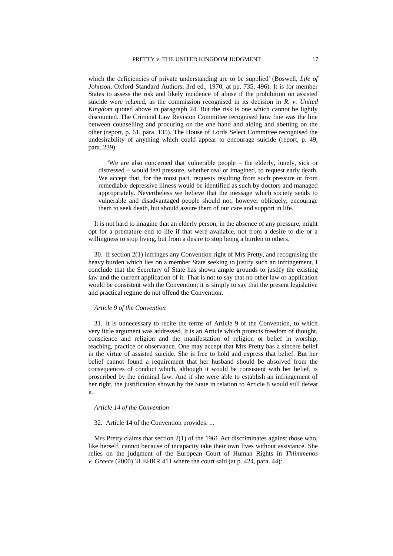which the deficiencies of private understanding are to be supplied' (Boswell, *Life of Johnson*, Oxford Standard Authors, 3rd ed., 1970, at pp. 735, 496). It is for member States to assess the risk and likely incidence of abuse if the prohibition on assisted suicide were relaxed, as the commission recognised in its decision in *R. v. United Kingdom* quoted above in paragraph 24. But the risk is one which cannot be lightly discounted. The Criminal Law Revision Committee recognised how fine was the line between counselling and procuring on the one hand and aiding and abetting on the other (report, p. 61, para. 135). The House of Lords Select Committee recognised the undesirability of anything which could appear to encourage suicide (report, p. 49, para. 239):

'We are also concerned that vulnerable people – the elderly, lonely, sick or distressed – would feel pressure, whether real or imagined, to request early death. We accept that, for the most part, requests resulting from such pressure or from remediable depressive illness would be identified as such by doctors and managed appropriately. Nevertheless we believe that the message which society sends to vulnerable and disadvantaged people should not, however obliquely, encourage them to seek death, but should assure them of our care and support in life.'

It is not hard to imagine that an elderly person, in the absence of any pressure, might opt for a premature end to life if that were available, not from a desire to die or a willingness to stop living, but from a desire to stop being a burden to others.

30. If section 2(1) infringes any Convention right of Mrs Pretty, and recognising the heavy burden which lies on a member State seeking to justify such an infringement, I conclude that the Secretary of State has shown ample grounds to justify the existing law and the current application of it. That is not to say that no other law or application would be consistent with the Convention; it is simply to say that the present legislative and practical regime do not offend the Convention.

#### *Article 9 of the Convention*

31. It is unnecessary to recite the terms of Article 9 of the Convention, to which very little argument was addressed. It is an Article which protects freedom of thought, conscience and religion and the manifestation of religion or belief in worship, teaching, practice or observance. One may accept that Mrs Pretty has a sincere belief in the virtue of assisted suicide. She is free to hold and express that belief. But her belief cannot found a requirement that her husband should be absolved from the consequences of conduct which, although it would be consistent with her belief, is proscribed by the criminal law. And if she were able to establish an infringement of her right, the justification shown by the State in relation to Article 8 would still defeat it.

#### *Article 14 of the Convention*

#### 32. Article 14 of the Convention provides: ...

Mrs Pretty claims that section 2(1) of the 1961 Act discriminates against those who, like herself, cannot because of incapacity take their own lives without assistance. She relies on the judgment of the European Court of Human Rights in *Thlimmenos v. Greece* (2000) 31 EHRR 411 where the court said (at p. 424, para. 44):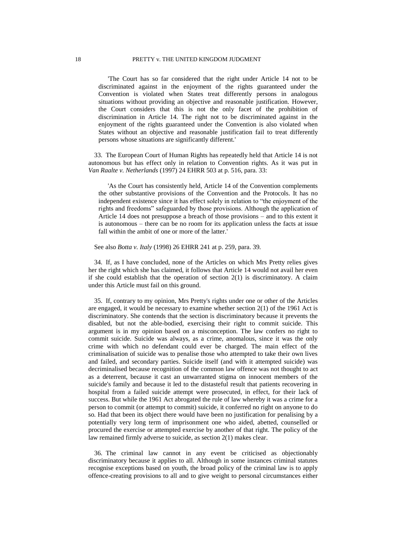'The Court has so far considered that the right under Article 14 not to be discriminated against in the enjoyment of the rights guaranteed under the Convention is violated when States treat differently persons in analogous situations without providing an objective and reasonable justification. However, the Court considers that this is not the only facet of the prohibition of discrimination in Article 14. The right not to be discriminated against in the enjoyment of the rights guaranteed under the Convention is also violated when States without an objective and reasonable justification fail to treat differently persons whose situations are significantly different.'

33. The European Court of Human Rights has repeatedly held that Article 14 is not autonomous but has effect only in relation to Convention rights. As it was put in *Van Raalte v. Netherlands* (1997) 24 EHRR 503 at p. 516, para. 33:

'As the Court has consistently held, Article 14 of the Convention complements the other substantive provisions of the Convention and the Protocols. It has no independent existence since it has effect solely in relation to "the enjoyment of the rights and freedoms" safeguarded by those provisions. Although the application of Article 14 does not presuppose a breach of those provisions – and to this extent it is autonomous – there can be no room for its application unless the facts at issue fall within the ambit of one or more of the latter.'

#### See also *Botta v. Italy* (1998) 26 EHRR 241 at p. 259, para. 39.

34. If, as I have concluded, none of the Articles on which Mrs Pretty relies gives her the right which she has claimed, it follows that Article 14 would not avail her even if she could establish that the operation of section 2(1) is discriminatory. A claim under this Article must fail on this ground.

35. If, contrary to my opinion, Mrs Pretty's rights under one or other of the Articles are engaged, it would be necessary to examine whether section 2(1) of the 1961 Act is discriminatory. She contends that the section is discriminatory because it prevents the disabled, but not the able-bodied, exercising their right to commit suicide. This argument is in my opinion based on a misconception. The law confers no right to commit suicide. Suicide was always, as a crime, anomalous, since it was the only crime with which no defendant could ever be charged. The main effect of the criminalisation of suicide was to penalise those who attempted to take their own lives and failed, and secondary parties. Suicide itself (and with it attempted suicide) was decriminalised because recognition of the common law offence was not thought to act as a deterrent, because it cast an unwarranted stigma on innocent members of the suicide's family and because it led to the distasteful result that patients recovering in hospital from a failed suicide attempt were prosecuted, in effect, for their lack of success. But while the 1961 Act abrogated the rule of law whereby it was a crime for a person to commit (or attempt to commit) suicide, it conferred no right on anyone to do so. Had that been its object there would have been no justification for penalising by a potentially very long term of imprisonment one who aided, abetted, counselled or procured the exercise or attempted exercise by another of that right. The policy of the law remained firmly adverse to suicide, as section 2(1) makes clear.

36. The criminal law cannot in any event be criticised as objectionably discriminatory because it applies to all. Although in some instances criminal statutes recognise exceptions based on youth, the broad policy of the criminal law is to apply offence-creating provisions to all and to give weight to personal circumstances either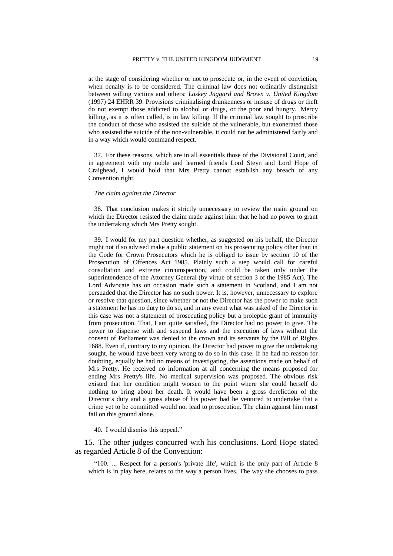at the stage of considering whether or not to prosecute or, in the event of conviction, when penalty is to be considered. The criminal law does not ordinarily distinguish between willing victims and others: *Laskey Jaggard and Brown v. United Kingdom*  (1997) 24 EHRR 39. Provisions criminalising drunkenness or misuse of drugs or theft do not exempt those addicted to alcohol or drugs, or the poor and hungry. 'Mercy killing', as it is often called, is in law killing. If the criminal law sought to proscribe the conduct of those who assisted the suicide of the vulnerable, but exonerated those who assisted the suicide of the non-vulnerable, it could not be administered fairly and in a way which would command respect.

37. For these reasons, which are in all essentials those of the Divisional Court, and in agreement with my noble and learned friends Lord Steyn and Lord Hope of Craighead, I would hold that Mrs Pretty cannot establish any breach of any Convention right.

#### *The claim against the Director*

38. That conclusion makes it strictly unnecessary to review the main ground on which the Director resisted the claim made against him: that he had no power to grant the undertaking which Mrs Pretty sought.

39. I would for my part question whether, as suggested on his behalf, the Director might not if so advised make a public statement on his prosecuting policy other than in the Code for Crown Prosecutors which he is obliged to issue by section 10 of the Prosecution of Offences Act 1985. Plainly such a step would call for careful consultation and extreme circumspection, and could be taken only under the superintendence of the Attorney General (by virtue of section 3 of the 1985 Act). The Lord Advocate has on occasion made such a statement in Scotland, and I am not persuaded that the Director has no such power. It is, however, unnecessary to explore or resolve that question, since whether or not the Director has the power to make such a statement he has no duty to do so, and in any event what was asked of the Director in this case was not a statement of prosecuting policy but a proleptic grant of immunity from prosecution. That, I am quite satisfied, the Director had no power to give. The power to dispense with and suspend laws and the execution of laws without the consent of Parliament was denied to the crown and its servants by the Bill of Rights 1688. Even if, contrary to my opinion, the Director had power to give the undertaking sought, he would have been very wrong to do so in this case. If he had no reason for doubting, equally he had no means of investigating, the assertions made on behalf of Mrs Pretty. He received no information at all concerning the means proposed for ending Mrs Pretty's life. No medical supervision was proposed. The obvious risk existed that her condition might worsen to the point where she could herself do nothing to bring about her death. It would have been a gross dereliction of the Director's duty and a gross abuse of his power had he ventured to undertake that a crime yet to be committed would not lead to prosecution. The claim against him must fail on this ground alone.

40. I would dismiss this appeal."

15. The other judges concurred with his conclusions. Lord Hope stated as regarded Article 8 of the Convention:

"100. ... Respect for a person's 'private life', which is the only part of Article 8 which is in play here, relates to the way a person lives. The way she chooses to pass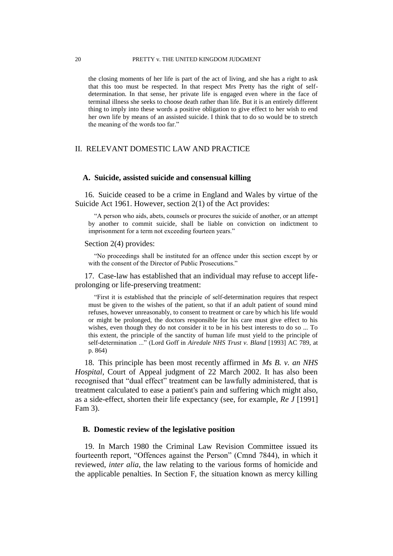#### 20 **PRETTY v. THE UNITED KINGDOM JUDGMENT**

the closing moments of her life is part of the act of living, and she has a right to ask that this too must be respected. In that respect Mrs Pretty has the right of selfdetermination. In that sense, her private life is engaged even where in the face of terminal illness she seeks to choose death rather than life. But it is an entirely different thing to imply into these words a positive obligation to give effect to her wish to end her own life by means of an assisted suicide. I think that to do so would be to stretch the meaning of the words too far."

## II. RELEVANT DOMESTIC LAW AND PRACTICE

#### **A. Suicide, assisted suicide and consensual killing**

16. Suicide ceased to be a crime in England and Wales by virtue of the Suicide Act 1961. However, section 2(1) of the Act provides:

"A person who aids, abets, counsels or procures the suicide of another, or an attempt by another to commit suicide, shall be liable on conviction on indictment to imprisonment for a term not exceeding fourteen years."

## Section 2(4) provides:

"No proceedings shall be instituted for an offence under this section except by or with the consent of the Director of Public Prosecutions."

17. Case-law has established that an individual may refuse to accept lifeprolonging or life-preserving treatment:

"First it is established that the principle of self-determination requires that respect must be given to the wishes of the patient, so that if an adult patient of sound mind refuses, however unreasonably, to consent to treatment or care by which his life would or might be prolonged, the doctors responsible for his care must give effect to his wishes, even though they do not consider it to be in his best interests to do so ... To this extent, the principle of the sanctity of human life must yield to the principle of self-determination ..." (Lord Goff in *Airedale NHS Trust v. Bland* [1993] AC 789, at p. 864)

18. This principle has been most recently affirmed in *Ms B. v. an NHS Hospital*, Court of Appeal judgment of 22 March 2002. It has also been recognised that "dual effect" treatment can be lawfully administered, that is treatment calculated to ease a patient's pain and suffering which might also, as a side-effect, shorten their life expectancy (see, for example, *Re J* [1991] Fam 3).

## **B. Domestic review of the legislative position**

19. In March 1980 the Criminal Law Revision Committee issued its fourteenth report, "Offences against the Person" (Cmnd 7844), in which it reviewed, *inter alia*, the law relating to the various forms of homicide and the applicable penalties. In Section F, the situation known as mercy killing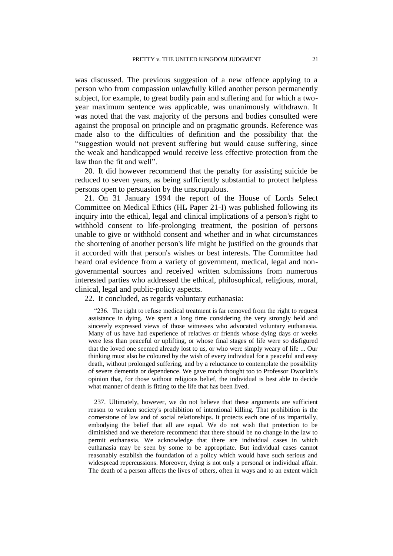was discussed. The previous suggestion of a new offence applying to a person who from compassion unlawfully killed another person permanently subject, for example, to great bodily pain and suffering and for which a twoyear maximum sentence was applicable, was unanimously withdrawn. It was noted that the vast majority of the persons and bodies consulted were against the proposal on principle and on pragmatic grounds. Reference was made also to the difficulties of definition and the possibility that the "suggestion would not prevent suffering but would cause suffering, since the weak and handicapped would receive less effective protection from the law than the fit and well".

20. It did however recommend that the penalty for assisting suicide be reduced to seven years, as being sufficiently substantial to protect helpless persons open to persuasion by the unscrupulous.

21. On 31 January 1994 the report of the House of Lords Select Committee on Medical Ethics (HL Paper 21-I) was published following its inquiry into the ethical, legal and clinical implications of a person's right to withhold consent to life-prolonging treatment, the position of persons unable to give or withhold consent and whether and in what circumstances the shortening of another person's life might be justified on the grounds that it accorded with that person's wishes or best interests. The Committee had heard oral evidence from a variety of government, medical, legal and nongovernmental sources and received written submissions from numerous interested parties who addressed the ethical, philosophical, religious, moral, clinical, legal and public-policy aspects.

22. It concluded, as regards voluntary euthanasia:

"236. The right to refuse medical treatment is far removed from the right to request assistance in dying. We spent a long time considering the very strongly held and sincerely expressed views of those witnesses who advocated voluntary euthanasia. Many of us have had experience of relatives or friends whose dying days or weeks were less than peaceful or uplifting, or whose final stages of life were so disfigured that the loved one seemed already lost to us, or who were simply weary of life ... Our thinking must also be coloured by the wish of every individual for a peaceful and easy death, without prolonged suffering, and by a reluctance to contemplate the possibility of severe dementia or dependence. We gave much thought too to Professor Dworkin's opinion that, for those without religious belief, the individual is best able to decide what manner of death is fitting to the life that has been lived.

237. Ultimately, however, we do not believe that these arguments are sufficient reason to weaken society's prohibition of intentional killing. That prohibition is the cornerstone of law and of social relationships. It protects each one of us impartially, embodying the belief that all are equal. We do not wish that protection to be diminished and we therefore recommend that there should be no change in the law to permit euthanasia. We acknowledge that there are individual cases in which euthanasia may be seen by some to be appropriate. But individual cases cannot reasonably establish the foundation of a policy which would have such serious and widespread repercussions. Moreover, dying is not only a personal or individual affair. The death of a person affects the lives of others, often in ways and to an extent which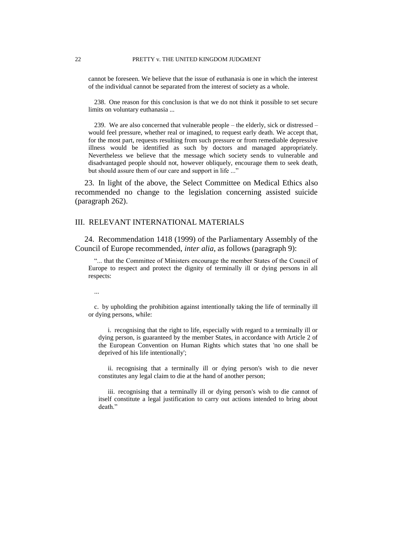cannot be foreseen. We believe that the issue of euthanasia is one in which the interest of the individual cannot be separated from the interest of society as a whole.

238. One reason for this conclusion is that we do not think it possible to set secure limits on voluntary euthanasia ...

239. We are also concerned that vulnerable people – the elderly, sick or distressed – would feel pressure, whether real or imagined, to request early death. We accept that, for the most part, requests resulting from such pressure or from remediable depressive illness would be identified as such by doctors and managed appropriately. Nevertheless we believe that the message which society sends to vulnerable and disadvantaged people should not, however obliquely, encourage them to seek death, but should assure them of our care and support in life ..."

23. In light of the above, the Select Committee on Medical Ethics also recommended no change to the legislation concerning assisted suicide (paragraph 262).

## III. RELEVANT INTERNATIONAL MATERIALS

24. Recommendation 1418 (1999) of the Parliamentary Assembly of the Council of Europe recommended, *inter alia*, as follows (paragraph 9):

"... that the Committee of Ministers encourage the member States of the Council of Europe to respect and protect the dignity of terminally ill or dying persons in all respects:

...

c. by upholding the prohibition against intentionally taking the life of terminally ill or dying persons, while:

i. recognising that the right to life, especially with regard to a terminally ill or dying person, is guaranteed by the member States, in accordance with Article 2 of the European Convention on Human Rights which states that 'no one shall be deprived of his life intentionally';

ii. recognising that a terminally ill or dying person's wish to die never constitutes any legal claim to die at the hand of another person;

iii. recognising that a terminally ill or dying person's wish to die cannot of itself constitute a legal justification to carry out actions intended to bring about death."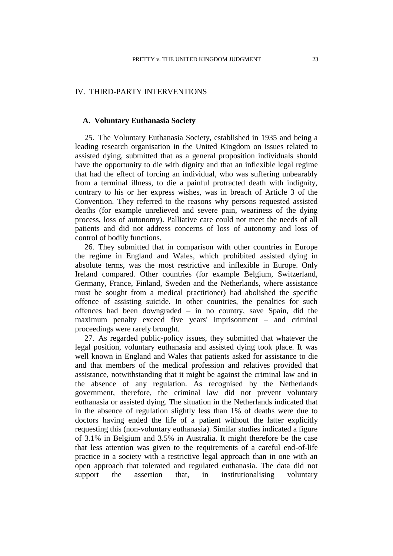## IV. THIRD-PARTY INTERVENTIONS

## **A. Voluntary Euthanasia Society**

25. The Voluntary Euthanasia Society, established in 1935 and being a leading research organisation in the United Kingdom on issues related to assisted dying, submitted that as a general proposition individuals should have the opportunity to die with dignity and that an inflexible legal regime that had the effect of forcing an individual, who was suffering unbearably from a terminal illness, to die a painful protracted death with indignity, contrary to his or her express wishes, was in breach of Article 3 of the Convention. They referred to the reasons why persons requested assisted deaths (for example unrelieved and severe pain, weariness of the dying process, loss of autonomy). Palliative care could not meet the needs of all patients and did not address concerns of loss of autonomy and loss of control of bodily functions.

26. They submitted that in comparison with other countries in Europe the regime in England and Wales, which prohibited assisted dying in absolute terms, was the most restrictive and inflexible in Europe. Only Ireland compared. Other countries (for example Belgium, Switzerland, Germany, France, Finland, Sweden and the Netherlands, where assistance must be sought from a medical practitioner) had abolished the specific offence of assisting suicide. In other countries, the penalties for such offences had been downgraded – in no country, save Spain, did the maximum penalty exceed five years' imprisonment – and criminal proceedings were rarely brought.

27. As regarded public-policy issues, they submitted that whatever the legal position, voluntary euthanasia and assisted dying took place. It was well known in England and Wales that patients asked for assistance to die and that members of the medical profession and relatives provided that assistance, notwithstanding that it might be against the criminal law and in the absence of any regulation. As recognised by the Netherlands government, therefore, the criminal law did not prevent voluntary euthanasia or assisted dying. The situation in the Netherlands indicated that in the absence of regulation slightly less than 1% of deaths were due to doctors having ended the life of a patient without the latter explicitly requesting this (non-voluntary euthanasia). Similar studies indicated a figure of 3.1% in Belgium and 3.5% in Australia. It might therefore be the case that less attention was given to the requirements of a careful end-of-life practice in a society with a restrictive legal approach than in one with an open approach that tolerated and regulated euthanasia. The data did not support the assertion that, in institutionalising voluntary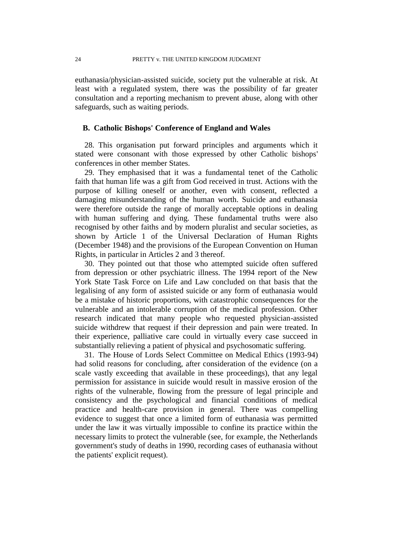euthanasia/physician-assisted suicide, society put the vulnerable at risk. At least with a regulated system, there was the possibility of far greater consultation and a reporting mechanism to prevent abuse, along with other safeguards, such as waiting periods.

## **B. Catholic Bishops' Conference of England and Wales**

28. This organisation put forward principles and arguments which it stated were consonant with those expressed by other Catholic bishops' conferences in other member States.

29. They emphasised that it was a fundamental tenet of the Catholic faith that human life was a gift from God received in trust. Actions with the purpose of killing oneself or another, even with consent, reflected a damaging misunderstanding of the human worth. Suicide and euthanasia were therefore outside the range of morally acceptable options in dealing with human suffering and dying. These fundamental truths were also recognised by other faiths and by modern pluralist and secular societies, as shown by Article 1 of the Universal Declaration of Human Rights (December 1948) and the provisions of the European Convention on Human Rights, in particular in Articles 2 and 3 thereof.

30. They pointed out that those who attempted suicide often suffered from depression or other psychiatric illness. The 1994 report of the New York State Task Force on Life and Law concluded on that basis that the legalising of any form of assisted suicide or any form of euthanasia would be a mistake of historic proportions, with catastrophic consequences for the vulnerable and an intolerable corruption of the medical profession. Other research indicated that many people who requested physician-assisted suicide withdrew that request if their depression and pain were treated. In their experience, palliative care could in virtually every case succeed in substantially relieving a patient of physical and psychosomatic suffering.

31. The House of Lords Select Committee on Medical Ethics (1993-94) had solid reasons for concluding, after consideration of the evidence (on a scale vastly exceeding that available in these proceedings), that any legal permission for assistance in suicide would result in massive erosion of the rights of the vulnerable, flowing from the pressure of legal principle and consistency and the psychological and financial conditions of medical practice and health-care provision in general. There was compelling evidence to suggest that once a limited form of euthanasia was permitted under the law it was virtually impossible to confine its practice within the necessary limits to protect the vulnerable (see, for example, the Netherlands government's study of deaths in 1990, recording cases of euthanasia without the patients' explicit request).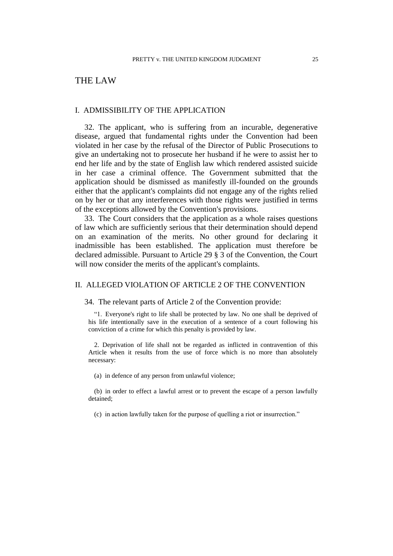## THE LAW

## I. ADMISSIBILITY OF THE APPLICATION

32. The applicant, who is suffering from an incurable, degenerative disease, argued that fundamental rights under the Convention had been violated in her case by the refusal of the Director of Public Prosecutions to give an undertaking not to prosecute her husband if he were to assist her to end her life and by the state of English law which rendered assisted suicide in her case a criminal offence. The Government submitted that the application should be dismissed as manifestly ill-founded on the grounds either that the applicant's complaints did not engage any of the rights relied on by her or that any interferences with those rights were justified in terms of the exceptions allowed by the Convention's provisions.

33. The Court considers that the application as a whole raises questions of law which are sufficiently serious that their determination should depend on an examination of the merits. No other ground for declaring it inadmissible has been established. The application must therefore be declared admissible. Pursuant to Article 29 § 3 of the Convention, the Court will now consider the merits of the applicant's complaints.

## II. ALLEGED VIOLATION OF ARTICLE 2 OF THE CONVENTION

## 34. The relevant parts of Article 2 of the Convention provide:

"1. Everyone's right to life shall be protected by law. No one shall be deprived of his life intentionally save in the execution of a sentence of a court following his conviction of a crime for which this penalty is provided by law.

2. Deprivation of life shall not be regarded as inflicted in contravention of this Article when it results from the use of force which is no more than absolutely necessary:

(a) in defence of any person from unlawful violence;

(b) in order to effect a lawful arrest or to prevent the escape of a person lawfully detained;

(c) in action lawfully taken for the purpose of quelling a riot or insurrection."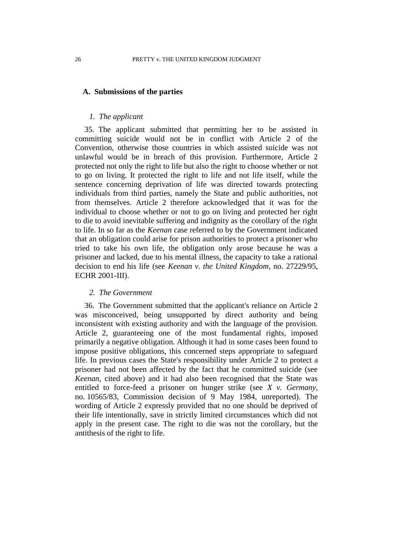## **A. Submissions of the parties**

#### *1. The applicant*

35. The applicant submitted that permitting her to be assisted in committing suicide would not be in conflict with Article 2 of the Convention, otherwise those countries in which assisted suicide was not unlawful would be in breach of this provision. Furthermore, Article 2 protected not only the right to life but also the right to choose whether or not to go on living. It protected the right to life and not life itself, while the sentence concerning deprivation of life was directed towards protecting individuals from third parties, namely the State and public authorities, not from themselves. Article 2 therefore acknowledged that it was for the individual to choose whether or not to go on living and protected her right to die to avoid inevitable suffering and indignity as the corollary of the right to life. In so far as the *Keenan* case referred to by the Government indicated that an obligation could arise for prison authorities to protect a prisoner who tried to take his own life, the obligation only arose because he was a prisoner and lacked, due to his mental illness, the capacity to take a rational decision to end his life (see *Keenan v. the United Kingdom*, no. 27229/95, ECHR 2001-III).

## *2. The Government*

36. The Government submitted that the applicant's reliance on Article 2 was misconceived, being unsupported by direct authority and being inconsistent with existing authority and with the language of the provision. Article 2, guaranteeing one of the most fundamental rights, imposed primarily a negative obligation. Although it had in some cases been found to impose positive obligations, this concerned steps appropriate to safeguard life. In previous cases the State's responsibility under Article 2 to protect a prisoner had not been affected by the fact that he committed suicide (see *Keenan*, cited above) and it had also been recognised that the State was entitled to force-feed a prisoner on hunger strike (see *X v. Germany*, no. 10565/83, Commission decision of 9 May 1984, unreported). The wording of Article 2 expressly provided that no one should be deprived of their life intentionally, save in strictly limited circumstances which did not apply in the present case. The right to die was not the corollary, but the antithesis of the right to life.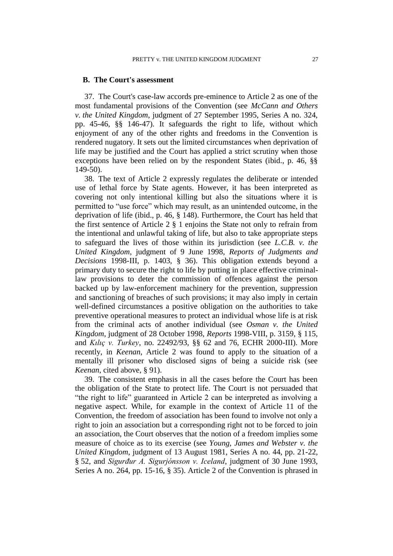#### **B. The Court's assessment**

37. The Court's case-law accords pre-eminence to Article 2 as one of the most fundamental provisions of the Convention (see *McCann and Others v. the United Kingdom*, judgment of 27 September 1995, Series A no. 324, pp. 45-46, §§ 146-47). It safeguards the right to life, without which enjoyment of any of the other rights and freedoms in the Convention is rendered nugatory. It sets out the limited circumstances when deprivation of life may be justified and the Court has applied a strict scrutiny when those exceptions have been relied on by the respondent States (ibid., p. 46, §§ 149-50).

38. The text of Article 2 expressly regulates the deliberate or intended use of lethal force by State agents. However, it has been interpreted as covering not only intentional killing but also the situations where it is permitted to "use force" which may result, as an unintended outcome, in the deprivation of life (ibid., p. 46, § 148). Furthermore, the Court has held that the first sentence of Article 2 § 1 enjoins the State not only to refrain from the intentional and unlawful taking of life, but also to take appropriate steps to safeguard the lives of those within its jurisdiction (see *L.C.B. v. the United Kingdom*, judgment of 9 June 1998, *Reports of Judgments and Decisions* 1998-III, p. 1403, § 36). This obligation extends beyond a primary duty to secure the right to life by putting in place effective criminallaw provisions to deter the commission of offences against the person backed up by law-enforcement machinery for the prevention, suppression and sanctioning of breaches of such provisions; it may also imply in certain well-defined circumstances a positive obligation on the authorities to take preventive operational measures to protect an individual whose life is at risk from the criminal acts of another individual (see *Osman v. the United Kingdom*, judgment of 28 October 1998, *Reports* 1998-VIII, p. 3159, § 115, and *Kılıç v. Turkey*, no. 22492/93, §§ 62 and 76, ECHR 2000-III). More recently, in *Keenan*, Article 2 was found to apply to the situation of a mentally ill prisoner who disclosed signs of being a suicide risk (see *Keenan*, cited above, § 91).

39. The consistent emphasis in all the cases before the Court has been the obligation of the State to protect life. The Court is not persuaded that "the right to life" guaranteed in Article 2 can be interpreted as involving a negative aspect. While, for example in the context of Article 11 of the Convention, the freedom of association has been found to involve not only a right to join an association but a corresponding right not to be forced to join an association, the Court observes that the notion of a freedom implies some measure of choice as to its exercise (see *Young, James and Webster v. the United Kingdom*, judgment of 13 August 1981, Series A no. 44, pp. 21-22, § 52, and *Sigurđur A. Sigurjónsson v. Iceland*, judgment of 30 June 1993, Series A no. 264, pp. 15-16, § 35). Article 2 of the Convention is phrased in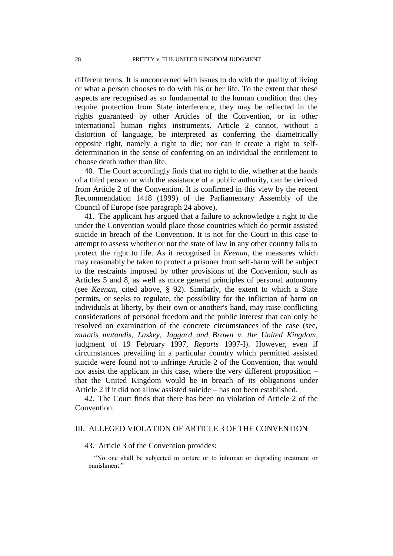different terms. It is unconcerned with issues to do with the quality of living or what a person chooses to do with his or her life. To the extent that these aspects are recognised as so fundamental to the human condition that they require protection from State interference, they may be reflected in the rights guaranteed by other Articles of the Convention, or in other international human rights instruments. Article 2 cannot, without a distortion of language, be interpreted as conferring the diametrically opposite right, namely a right to die; nor can it create a right to selfdetermination in the sense of conferring on an individual the entitlement to choose death rather than life.

40. The Court accordingly finds that no right to die, whether at the hands of a third person or with the assistance of a public authority, can be derived from Article 2 of the Convention. It is confirmed in this view by the recent Recommendation 1418 (1999) of the Parliamentary Assembly of the Council of Europe (see paragraph 24 above).

41. The applicant has argued that a failure to acknowledge a right to die under the Convention would place those countries which do permit assisted suicide in breach of the Convention. It is not for the Court in this case to attempt to assess whether or not the state of law in any other country fails to protect the right to life. As it recognised in *Keenan*, the measures which may reasonably be taken to protect a prisoner from self-harm will be subject to the restraints imposed by other provisions of the Convention, such as Articles 5 and 8, as well as more general principles of personal autonomy (see *Keenan*, cited above, § 92). Similarly, the extent to which a State permits, or seeks to regulate, the possibility for the infliction of harm on individuals at liberty, by their own or another's hand, may raise conflicting considerations of personal freedom and the public interest that can only be resolved on examination of the concrete circumstances of the case (see, *mutatis mutandis*, *Laskey, Jaggard and Brown v. the United Kingdom*, judgment of 19 February 1997, *Reports* 1997-I). However, even if circumstances prevailing in a particular country which permitted assisted suicide were found not to infringe Article 2 of the Convention, that would not assist the applicant in this case, where the very different proposition – that the United Kingdom would be in breach of its obligations under Article 2 if it did not allow assisted suicide – has not been established.

42. The Court finds that there has been no violation of Article 2 of the Convention.

## III. ALLEGED VIOLATION OF ARTICLE 3 OF THE CONVENTION

#### 43. Article 3 of the Convention provides:

"No one shall be subjected to torture or to inhuman or degrading treatment or punishment."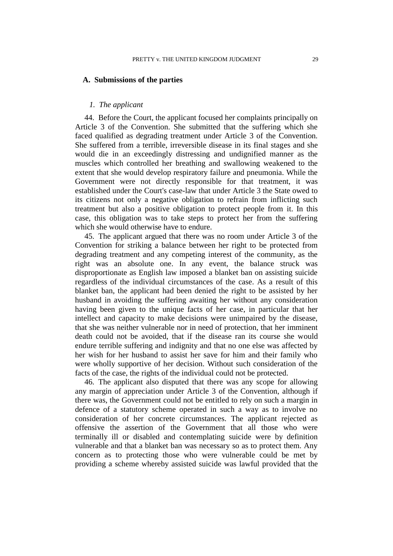## **A. Submissions of the parties**

## *1. The applicant*

44. Before the Court, the applicant focused her complaints principally on Article 3 of the Convention. She submitted that the suffering which she faced qualified as degrading treatment under Article 3 of the Convention. She suffered from a terrible, irreversible disease in its final stages and she would die in an exceedingly distressing and undignified manner as the muscles which controlled her breathing and swallowing weakened to the extent that she would develop respiratory failure and pneumonia. While the Government were not directly responsible for that treatment, it was established under the Court's case-law that under Article 3 the State owed to its citizens not only a negative obligation to refrain from inflicting such treatment but also a positive obligation to protect people from it. In this case, this obligation was to take steps to protect her from the suffering which she would otherwise have to endure.

45. The applicant argued that there was no room under Article 3 of the Convention for striking a balance between her right to be protected from degrading treatment and any competing interest of the community, as the right was an absolute one. In any event, the balance struck was disproportionate as English law imposed a blanket ban on assisting suicide regardless of the individual circumstances of the case. As a result of this blanket ban, the applicant had been denied the right to be assisted by her husband in avoiding the suffering awaiting her without any consideration having been given to the unique facts of her case, in particular that her intellect and capacity to make decisions were unimpaired by the disease, that she was neither vulnerable nor in need of protection, that her imminent death could not be avoided, that if the disease ran its course she would endure terrible suffering and indignity and that no one else was affected by her wish for her husband to assist her save for him and their family who were wholly supportive of her decision. Without such consideration of the facts of the case, the rights of the individual could not be protected.

46. The applicant also disputed that there was any scope for allowing any margin of appreciation under Article 3 of the Convention, although if there was, the Government could not be entitled to rely on such a margin in defence of a statutory scheme operated in such a way as to involve no consideration of her concrete circumstances. The applicant rejected as offensive the assertion of the Government that all those who were terminally ill or disabled and contemplating suicide were by definition vulnerable and that a blanket ban was necessary so as to protect them. Any concern as to protecting those who were vulnerable could be met by providing a scheme whereby assisted suicide was lawful provided that the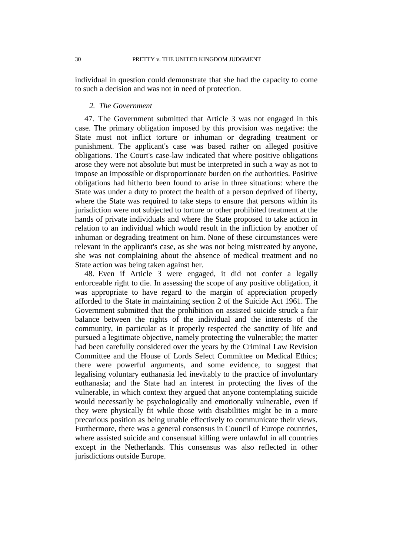individual in question could demonstrate that she had the capacity to come to such a decision and was not in need of protection.

## *2. The Government*

47. The Government submitted that Article 3 was not engaged in this case. The primary obligation imposed by this provision was negative: the State must not inflict torture or inhuman or degrading treatment or punishment. The applicant's case was based rather on alleged positive obligations. The Court's case-law indicated that where positive obligations arose they were not absolute but must be interpreted in such a way as not to impose an impossible or disproportionate burden on the authorities. Positive obligations had hitherto been found to arise in three situations: where the State was under a duty to protect the health of a person deprived of liberty, where the State was required to take steps to ensure that persons within its jurisdiction were not subjected to torture or other prohibited treatment at the hands of private individuals and where the State proposed to take action in relation to an individual which would result in the infliction by another of inhuman or degrading treatment on him. None of these circumstances were relevant in the applicant's case, as she was not being mistreated by anyone, she was not complaining about the absence of medical treatment and no State action was being taken against her.

48. Even if Article 3 were engaged, it did not confer a legally enforceable right to die. In assessing the scope of any positive obligation, it was appropriate to have regard to the margin of appreciation properly afforded to the State in maintaining section 2 of the Suicide Act 1961. The Government submitted that the prohibition on assisted suicide struck a fair balance between the rights of the individual and the interests of the community, in particular as it properly respected the sanctity of life and pursued a legitimate objective, namely protecting the vulnerable; the matter had been carefully considered over the years by the Criminal Law Revision Committee and the House of Lords Select Committee on Medical Ethics; there were powerful arguments, and some evidence, to suggest that legalising voluntary euthanasia led inevitably to the practice of involuntary euthanasia; and the State had an interest in protecting the lives of the vulnerable, in which context they argued that anyone contemplating suicide would necessarily be psychologically and emotionally vulnerable, even if they were physically fit while those with disabilities might be in a more precarious position as being unable effectively to communicate their views. Furthermore, there was a general consensus in Council of Europe countries, where assisted suicide and consensual killing were unlawful in all countries except in the Netherlands. This consensus was also reflected in other jurisdictions outside Europe.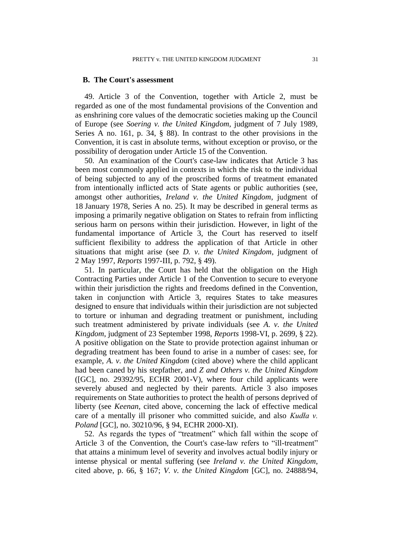#### **B. The Court's assessment**

49. Article 3 of the Convention, together with Article 2, must be regarded as one of the most fundamental provisions of the Convention and as enshrining core values of the democratic societies making up the Council of Europe (see *Soering v. the United Kingdom*, judgment of 7 July 1989, Series A no. 161, p. 34, § 88). In contrast to the other provisions in the Convention, it is cast in absolute terms, without exception or proviso, or the possibility of derogation under Article 15 of the Convention.

50. An examination of the Court's case-law indicates that Article 3 has been most commonly applied in contexts in which the risk to the individual of being subjected to any of the proscribed forms of treatment emanated from intentionally inflicted acts of State agents or public authorities (see, amongst other authorities, *Ireland v. the United Kingdom*, judgment of 18 January 1978, Series A no. 25). It may be described in general terms as imposing a primarily negative obligation on States to refrain from inflicting serious harm on persons within their jurisdiction. However, in light of the fundamental importance of Article 3, the Court has reserved to itself sufficient flexibility to address the application of that Article in other situations that might arise (see *D. v. the United Kingdom*, judgment of 2 May 1997, *Reports* 1997-III, p. 792, § 49).

51. In particular, the Court has held that the obligation on the High Contracting Parties under Article 1 of the Convention to secure to everyone within their jurisdiction the rights and freedoms defined in the Convention, taken in conjunction with Article 3, requires States to take measures designed to ensure that individuals within their jurisdiction are not subjected to torture or inhuman and degrading treatment or punishment, including such treatment administered by private individuals (see *A. v. the United Kingdom*, judgment of 23 September 1998, *Reports* 1998-VI, p. 2699, § 22). A positive obligation on the State to provide protection against inhuman or degrading treatment has been found to arise in a number of cases: see, for example, *A. v. the United Kingdom* (cited above) where the child applicant had been caned by his stepfather, and *Z and Others v. the United Kingdom*  ([GC], no. 29392/95, ECHR 2001-V), where four child applicants were severely abused and neglected by their parents. Article 3 also imposes requirements on State authorities to protect the health of persons deprived of liberty (see *Keenan*, cited above, concerning the lack of effective medical care of a mentally ill prisoner who committed suicide, and also *Kudła v. Poland* [GC], no. 30210/96, § 94, ECHR 2000-XI).

52. As regards the types of "treatment" which fall within the scope of Article 3 of the Convention, the Court's case-law refers to "ill-treatment" that attains a minimum level of severity and involves actual bodily injury or intense physical or mental suffering (see *Ireland v. the United Kingdom*, cited above, p. 66, § 167; *V. v. the United Kingdom* [GC], no. 24888/94,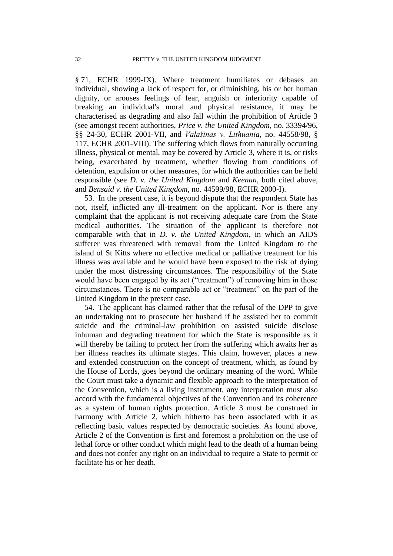§ 71, ECHR 1999-IX). Where treatment humiliates or debases an individual, showing a lack of respect for, or diminishing, his or her human dignity, or arouses feelings of fear, anguish or inferiority capable of breaking an individual's moral and physical resistance, it may be characterised as degrading and also fall within the prohibition of Article 3 (see amongst recent authorities, *Price v. the United Kingdom*, no. 33394/96, §§ 24-30, ECHR 2001-VII, and *Valašinas v. Lithuania*, no. 44558/98, § 117, ECHR 2001-VIII). The suffering which flows from naturally occurring illness, physical or mental, may be covered by Article 3, where it is, or risks being, exacerbated by treatment, whether flowing from conditions of detention, expulsion or other measures, for which the authorities can be held responsible (see *D. v. the United Kingdom* and *Keenan*, both cited above, and *Bensaid v. the United Kingdom*, no. 44599/98, ECHR 2000-I).

53. In the present case, it is beyond dispute that the respondent State has not, itself, inflicted any ill-treatment on the applicant. Nor is there any complaint that the applicant is not receiving adequate care from the State medical authorities. The situation of the applicant is therefore not comparable with that in *D. v. the United Kingdom*, in which an AIDS sufferer was threatened with removal from the United Kingdom to the island of St Kitts where no effective medical or palliative treatment for his illness was available and he would have been exposed to the risk of dying under the most distressing circumstances. The responsibility of the State would have been engaged by its act ("treatment") of removing him in those circumstances. There is no comparable act or "treatment" on the part of the United Kingdom in the present case.

54. The applicant has claimed rather that the refusal of the DPP to give an undertaking not to prosecute her husband if he assisted her to commit suicide and the criminal-law prohibition on assisted suicide disclose inhuman and degrading treatment for which the State is responsible as it will thereby be failing to protect her from the suffering which awaits her as her illness reaches its ultimate stages. This claim, however, places a new and extended construction on the concept of treatment, which, as found by the House of Lords, goes beyond the ordinary meaning of the word. While the Court must take a dynamic and flexible approach to the interpretation of the Convention, which is a living instrument, any interpretation must also accord with the fundamental objectives of the Convention and its coherence as a system of human rights protection. Article 3 must be construed in harmony with Article 2, which hitherto has been associated with it as reflecting basic values respected by democratic societies. As found above, Article 2 of the Convention is first and foremost a prohibition on the use of lethal force or other conduct which might lead to the death of a human being and does not confer any right on an individual to require a State to permit or facilitate his or her death.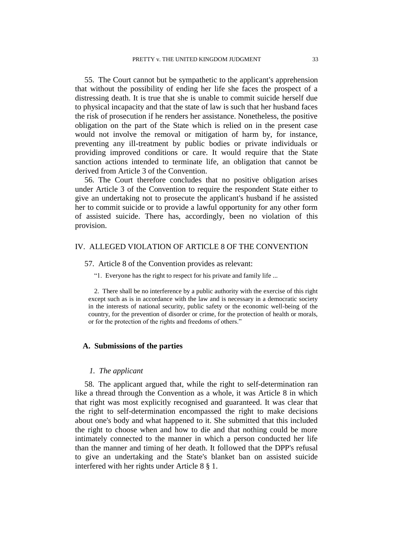55. The Court cannot but be sympathetic to the applicant's apprehension that without the possibility of ending her life she faces the prospect of a distressing death. It is true that she is unable to commit suicide herself due to physical incapacity and that the state of law is such that her husband faces the risk of prosecution if he renders her assistance. Nonetheless, the positive obligation on the part of the State which is relied on in the present case would not involve the removal or mitigation of harm by, for instance, preventing any ill-treatment by public bodies or private individuals or providing improved conditions or care. It would require that the State sanction actions intended to terminate life, an obligation that cannot be derived from Article 3 of the Convention.

56. The Court therefore concludes that no positive obligation arises under Article 3 of the Convention to require the respondent State either to give an undertaking not to prosecute the applicant's husband if he assisted her to commit suicide or to provide a lawful opportunity for any other form of assisted suicide. There has, accordingly, been no violation of this provision.

## IV. ALLEGED VIOLATION OF ARTICLE 8 OF THE CONVENTION

## 57. Article 8 of the Convention provides as relevant:

"1. Everyone has the right to respect for his private and family life ...

2. There shall be no interference by a public authority with the exercise of this right except such as is in accordance with the law and is necessary in a democratic society in the interests of national security, public safety or the economic well-being of the country, for the prevention of disorder or crime, for the protection of health or morals, or for the protection of the rights and freedoms of others."

### **A. Submissions of the parties**

### *1. The applicant*

58. The applicant argued that, while the right to self-determination ran like a thread through the Convention as a whole, it was Article 8 in which that right was most explicitly recognised and guaranteed. It was clear that the right to self-determination encompassed the right to make decisions about one's body and what happened to it. She submitted that this included the right to choose when and how to die and that nothing could be more intimately connected to the manner in which a person conducted her life than the manner and timing of her death. It followed that the DPP's refusal to give an undertaking and the State's blanket ban on assisted suicide interfered with her rights under Article 8 § 1.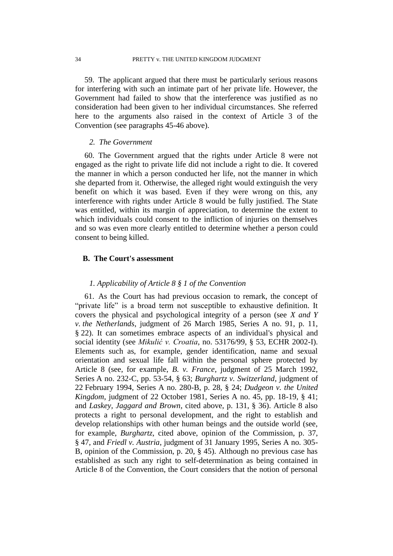59. The applicant argued that there must be particularly serious reasons for interfering with such an intimate part of her private life. However, the Government had failed to show that the interference was justified as no consideration had been given to her individual circumstances. She referred here to the arguments also raised in the context of Article 3 of the Convention (see paragraphs 45-46 above).

#### *2. The Government*

60. The Government argued that the rights under Article 8 were not engaged as the right to private life did not include a right to die. It covered the manner in which a person conducted her life, not the manner in which she departed from it. Otherwise, the alleged right would extinguish the very benefit on which it was based. Even if they were wrong on this, any interference with rights under Article 8 would be fully justified. The State was entitled, within its margin of appreciation, to determine the extent to which individuals could consent to the infliction of injuries on themselves and so was even more clearly entitled to determine whether a person could consent to being killed.

## **B. The Court's assessment**

#### *1. Applicability of Article 8 § 1 of the Convention*

61. As the Court has had previous occasion to remark, the concept of "private life" is a broad term not susceptible to exhaustive definition. It covers the physical and psychological integrity of a person (see *X and Y v. the Netherlands*, judgment of 26 March 1985, Series A no. 91, p. 11, § 22). It can sometimes embrace aspects of an individual's physical and social identity (see *Mikulić v. Croatia*, no. 53176/99, § 53, ECHR 2002-I). Elements such as, for example, gender identification, name and sexual orientation and sexual life fall within the personal sphere protected by Article 8 (see, for example, *B. v. France*, judgment of 25 March 1992, Series A no. 232-C, pp. 53-54, § 63; *Burghartz v. Switzerland*, judgment of 22 February 1994, Series A no. 280-B, p. 28, § 24; *Dudgeon v. the United Kingdom*, judgment of 22 October 1981, Series A no. 45, pp. 18-19, § 41; and *Laskey, Jaggard and Brown*, cited above, p. 131, § 36). Article 8 also protects a right to personal development, and the right to establish and develop relationships with other human beings and the outside world (see, for example, *Burghartz*, cited above, opinion of the Commission, p. 37, § 47, and *Friedl v. Austria*, judgment of 31 January 1995, Series A no. 305- B, opinion of the Commission, p. 20, § 45). Although no previous case has established as such any right to self-determination as being contained in Article 8 of the Convention, the Court considers that the notion of personal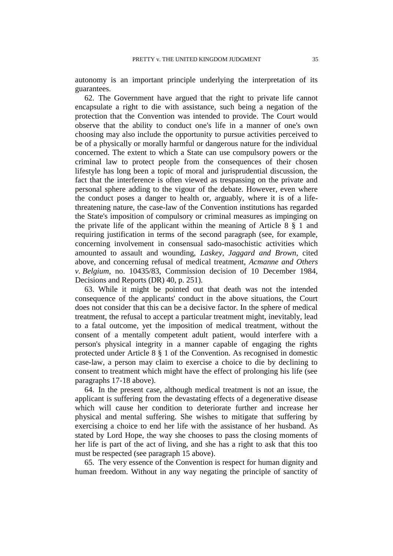autonomy is an important principle underlying the interpretation of its guarantees.

62. The Government have argued that the right to private life cannot encapsulate a right to die with assistance, such being a negation of the protection that the Convention was intended to provide. The Court would observe that the ability to conduct one's life in a manner of one's own choosing may also include the opportunity to pursue activities perceived to be of a physically or morally harmful or dangerous nature for the individual concerned. The extent to which a State can use compulsory powers or the criminal law to protect people from the consequences of their chosen lifestyle has long been a topic of moral and jurisprudential discussion, the fact that the interference is often viewed as trespassing on the private and personal sphere adding to the vigour of the debate. However, even where the conduct poses a danger to health or, arguably, where it is of a lifethreatening nature, the case-law of the Convention institutions has regarded the State's imposition of compulsory or criminal measures as impinging on the private life of the applicant within the meaning of Article 8 § 1 and requiring justification in terms of the second paragraph (see, for example, concerning involvement in consensual sado-masochistic activities which amounted to assault and wounding, *Laskey, Jaggard and Brown*, cited above, and concerning refusal of medical treatment, *Acmanne and Others v. Belgium*, no. 10435/83, Commission decision of 10 December 1984, Decisions and Reports (DR) 40, p. 251).

63. While it might be pointed out that death was not the intended consequence of the applicants' conduct in the above situations, the Court does not consider that this can be a decisive factor. In the sphere of medical treatment, the refusal to accept a particular treatment might, inevitably, lead to a fatal outcome, yet the imposition of medical treatment, without the consent of a mentally competent adult patient, would interfere with a person's physical integrity in a manner capable of engaging the rights protected under Article 8 § 1 of the Convention. As recognised in domestic case-law, a person may claim to exercise a choice to die by declining to consent to treatment which might have the effect of prolonging his life (see paragraphs 17-18 above).

64. In the present case, although medical treatment is not an issue, the applicant is suffering from the devastating effects of a degenerative disease which will cause her condition to deteriorate further and increase her physical and mental suffering. She wishes to mitigate that suffering by exercising a choice to end her life with the assistance of her husband. As stated by Lord Hope, the way she chooses to pass the closing moments of her life is part of the act of living, and she has a right to ask that this too must be respected (see paragraph 15 above).

65. The very essence of the Convention is respect for human dignity and human freedom. Without in any way negating the principle of sanctity of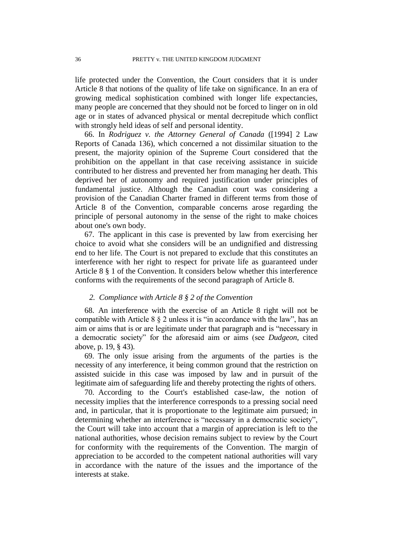life protected under the Convention, the Court considers that it is under Article 8 that notions of the quality of life take on significance. In an era of growing medical sophistication combined with longer life expectancies, many people are concerned that they should not be forced to linger on in old age or in states of advanced physical or mental decrepitude which conflict with strongly held ideas of self and personal identity.

66. In *Rodriguez v. the Attorney General of Canada* ([1994] 2 Law Reports of Canada 136), which concerned a not dissimilar situation to the present, the majority opinion of the Supreme Court considered that the prohibition on the appellant in that case receiving assistance in suicide contributed to her distress and prevented her from managing her death. This deprived her of autonomy and required justification under principles of fundamental justice. Although the Canadian court was considering a provision of the Canadian Charter framed in different terms from those of Article 8 of the Convention, comparable concerns arose regarding the principle of personal autonomy in the sense of the right to make choices about one's own body.

67. The applicant in this case is prevented by law from exercising her choice to avoid what she considers will be an undignified and distressing end to her life. The Court is not prepared to exclude that this constitutes an interference with her right to respect for private life as guaranteed under Article 8 § 1 of the Convention. It considers below whether this interference conforms with the requirements of the second paragraph of Article 8.

## *2. Compliance with Article 8 § 2 of the Convention*

68. An interference with the exercise of an Article 8 right will not be compatible with Article 8 § 2 unless it is "in accordance with the law", has an aim or aims that is or are legitimate under that paragraph and is "necessary in a democratic society" for the aforesaid aim or aims (see *Dudgeon*, cited above, p. 19, § 43).

69. The only issue arising from the arguments of the parties is the necessity of any interference, it being common ground that the restriction on assisted suicide in this case was imposed by law and in pursuit of the legitimate aim of safeguarding life and thereby protecting the rights of others.

70. According to the Court's established case-law, the notion of necessity implies that the interference corresponds to a pressing social need and, in particular, that it is proportionate to the legitimate aim pursued; in determining whether an interference is "necessary in a democratic society", the Court will take into account that a margin of appreciation is left to the national authorities, whose decision remains subject to review by the Court for conformity with the requirements of the Convention. The margin of appreciation to be accorded to the competent national authorities will vary in accordance with the nature of the issues and the importance of the interests at stake.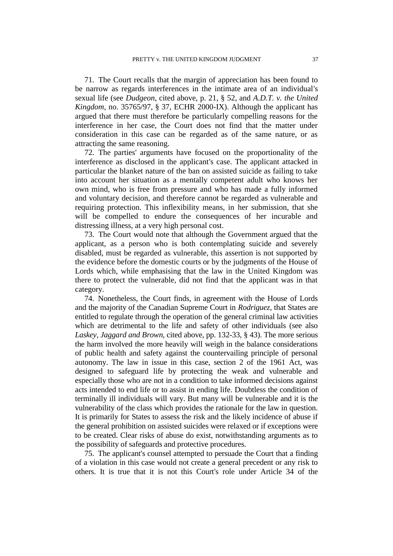71. The Court recalls that the margin of appreciation has been found to be narrow as regards interferences in the intimate area of an individual's sexual life (see *Dudgeon*, cited above, p. 21, § 52, and *A.D.T. v. the United Kingdom*, no. 35765/97, § 37, ECHR 2000-IX). Although the applicant has argued that there must therefore be particularly compelling reasons for the interference in her case, the Court does not find that the matter under consideration in this case can be regarded as of the same nature, or as attracting the same reasoning.

72. The parties' arguments have focused on the proportionality of the interference as disclosed in the applicant's case. The applicant attacked in particular the blanket nature of the ban on assisted suicide as failing to take into account her situation as a mentally competent adult who knows her own mind, who is free from pressure and who has made a fully informed and voluntary decision, and therefore cannot be regarded as vulnerable and requiring protection. This inflexibility means, in her submission, that she will be compelled to endure the consequences of her incurable and distressing illness, at a very high personal cost.

73. The Court would note that although the Government argued that the applicant, as a person who is both contemplating suicide and severely disabled, must be regarded as vulnerable, this assertion is not supported by the evidence before the domestic courts or by the judgments of the House of Lords which, while emphasising that the law in the United Kingdom was there to protect the vulnerable, did not find that the applicant was in that category.

74. Nonetheless, the Court finds, in agreement with the House of Lords and the majority of the Canadian Supreme Court in *Rodriguez*, that States are entitled to regulate through the operation of the general criminal law activities which are detrimental to the life and safety of other individuals (see also *Laskey, Jaggard and Brown*, cited above, pp. 132-33, § 43). The more serious the harm involved the more heavily will weigh in the balance considerations of public health and safety against the countervailing principle of personal autonomy. The law in issue in this case, section 2 of the 1961 Act, was designed to safeguard life by protecting the weak and vulnerable and especially those who are not in a condition to take informed decisions against acts intended to end life or to assist in ending life. Doubtless the condition of terminally ill individuals will vary. But many will be vulnerable and it is the vulnerability of the class which provides the rationale for the law in question. It is primarily for States to assess the risk and the likely incidence of abuse if the general prohibition on assisted suicides were relaxed or if exceptions were to be created. Clear risks of abuse do exist, notwithstanding arguments as to the possibility of safeguards and protective procedures.

75. The applicant's counsel attempted to persuade the Court that a finding of a violation in this case would not create a general precedent or any risk to others. It is true that it is not this Court's role under Article 34 of the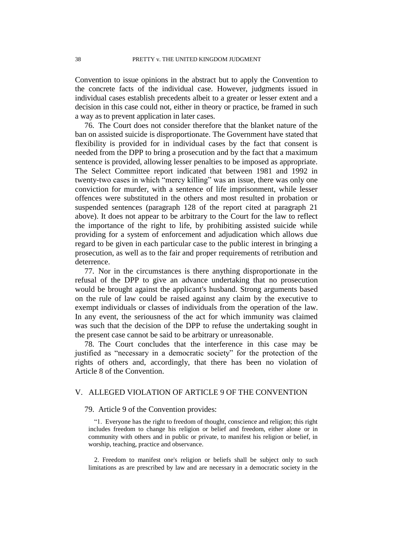Convention to issue opinions in the abstract but to apply the Convention to the concrete facts of the individual case. However, judgments issued in individual cases establish precedents albeit to a greater or lesser extent and a decision in this case could not, either in theory or practice, be framed in such a way as to prevent application in later cases.

76. The Court does not consider therefore that the blanket nature of the ban on assisted suicide is disproportionate. The Government have stated that flexibility is provided for in individual cases by the fact that consent is needed from the DPP to bring a prosecution and by the fact that a maximum sentence is provided, allowing lesser penalties to be imposed as appropriate. The Select Committee report indicated that between 1981 and 1992 in twenty-two cases in which "mercy killing" was an issue, there was only one conviction for murder, with a sentence of life imprisonment, while lesser offences were substituted in the others and most resulted in probation or suspended sentences (paragraph 128 of the report cited at paragraph 21 above). It does not appear to be arbitrary to the Court for the law to reflect the importance of the right to life, by prohibiting assisted suicide while providing for a system of enforcement and adjudication which allows due regard to be given in each particular case to the public interest in bringing a prosecution, as well as to the fair and proper requirements of retribution and deterrence.

77. Nor in the circumstances is there anything disproportionate in the refusal of the DPP to give an advance undertaking that no prosecution would be brought against the applicant's husband. Strong arguments based on the rule of law could be raised against any claim by the executive to exempt individuals or classes of individuals from the operation of the law. In any event, the seriousness of the act for which immunity was claimed was such that the decision of the DPP to refuse the undertaking sought in the present case cannot be said to be arbitrary or unreasonable.

78. The Court concludes that the interference in this case may be justified as "necessary in a democratic society" for the protection of the rights of others and, accordingly, that there has been no violation of Article 8 of the Convention.

## V. ALLEGED VIOLATION OF ARTICLE 9 OF THE CONVENTION

79. Article 9 of the Convention provides:

"1. Everyone has the right to freedom of thought, conscience and religion; this right includes freedom to change his religion or belief and freedom, either alone or in community with others and in public or private, to manifest his religion or belief, in worship, teaching, practice and observance.

2. Freedom to manifest one's religion or beliefs shall be subject only to such limitations as are prescribed by law and are necessary in a democratic society in the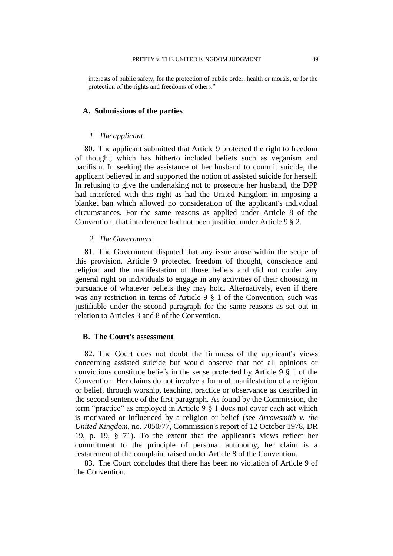interests of public safety, for the protection of public order, health or morals, or for the protection of the rights and freedoms of others."

### **A. Submissions of the parties**

## *1. The applicant*

80. The applicant submitted that Article 9 protected the right to freedom of thought, which has hitherto included beliefs such as veganism and pacifism. In seeking the assistance of her husband to commit suicide, the applicant believed in and supported the notion of assisted suicide for herself. In refusing to give the undertaking not to prosecute her husband, the DPP had interfered with this right as had the United Kingdom in imposing a blanket ban which allowed no consideration of the applicant's individual circumstances. For the same reasons as applied under Article 8 of the Convention, that interference had not been justified under Article 9 § 2.

### *2. The Government*

81. The Government disputed that any issue arose within the scope of this provision. Article 9 protected freedom of thought, conscience and religion and the manifestation of those beliefs and did not confer any general right on individuals to engage in any activities of their choosing in pursuance of whatever beliefs they may hold. Alternatively, even if there was any restriction in terms of Article 9 § 1 of the Convention, such was justifiable under the second paragraph for the same reasons as set out in relation to Articles 3 and 8 of the Convention.

## **B. The Court's assessment**

82. The Court does not doubt the firmness of the applicant's views concerning assisted suicide but would observe that not all opinions or convictions constitute beliefs in the sense protected by Article 9 § 1 of the Convention. Her claims do not involve a form of manifestation of a religion or belief, through worship, teaching, practice or observance as described in the second sentence of the first paragraph. As found by the Commission, the term "practice" as employed in Article 9 § 1 does not cover each act which is motivated or influenced by a religion or belief (see *Arrowsmith v. the United Kingdom*, no. 7050/77, Commission's report of 12 October 1978, DR 19, p. 19, § 71). To the extent that the applicant's views reflect her commitment to the principle of personal autonomy, her claim is a restatement of the complaint raised under Article 8 of the Convention.

83. The Court concludes that there has been no violation of Article 9 of the Convention.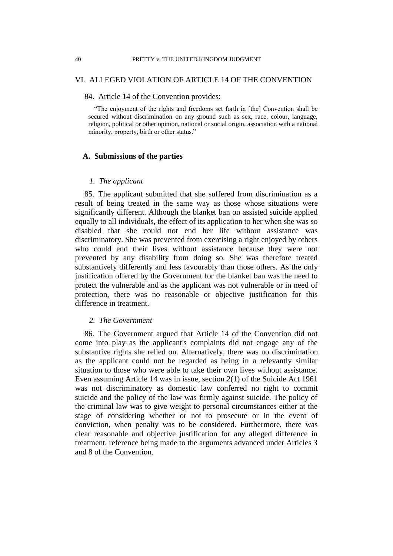## VI. ALLEGED VIOLATION OF ARTICLE 14 OF THE CONVENTION

## 84. Article 14 of the Convention provides:

"The enjoyment of the rights and freedoms set forth in [the] Convention shall be secured without discrimination on any ground such as sex, race, colour, language, religion, political or other opinion, national or social origin, association with a national minority, property, birth or other status."

## **A. Submissions of the parties**

## *1. The applicant*

85. The applicant submitted that she suffered from discrimination as a result of being treated in the same way as those whose situations were significantly different. Although the blanket ban on assisted suicide applied equally to all individuals, the effect of its application to her when she was so disabled that she could not end her life without assistance was discriminatory. She was prevented from exercising a right enjoyed by others who could end their lives without assistance because they were not prevented by any disability from doing so. She was therefore treated substantively differently and less favourably than those others. As the only justification offered by the Government for the blanket ban was the need to protect the vulnerable and as the applicant was not vulnerable or in need of protection, there was no reasonable or objective justification for this difference in treatment.

## *2. The Government*

86. The Government argued that Article 14 of the Convention did not come into play as the applicant's complaints did not engage any of the substantive rights she relied on. Alternatively, there was no discrimination as the applicant could not be regarded as being in a relevantly similar situation to those who were able to take their own lives without assistance. Even assuming Article 14 was in issue, section 2(1) of the Suicide Act 1961 was not discriminatory as domestic law conferred no right to commit suicide and the policy of the law was firmly against suicide. The policy of the criminal law was to give weight to personal circumstances either at the stage of considering whether or not to prosecute or in the event of conviction, when penalty was to be considered. Furthermore, there was clear reasonable and objective justification for any alleged difference in treatment, reference being made to the arguments advanced under Articles 3 and 8 of the Convention.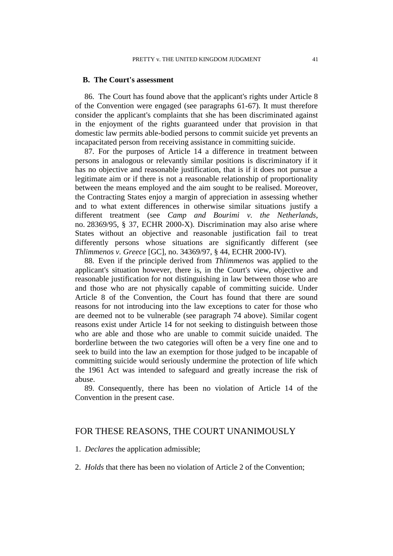#### **B. The Court's assessment**

86. The Court has found above that the applicant's rights under Article 8 of the Convention were engaged (see paragraphs 61-67). It must therefore consider the applicant's complaints that she has been discriminated against in the enjoyment of the rights guaranteed under that provision in that domestic law permits able-bodied persons to commit suicide yet prevents an incapacitated person from receiving assistance in committing suicide.

87. For the purposes of Article 14 a difference in treatment between persons in analogous or relevantly similar positions is discriminatory if it has no objective and reasonable justification, that is if it does not pursue a legitimate aim or if there is not a reasonable relationship of proportionality between the means employed and the aim sought to be realised. Moreover, the Contracting States enjoy a margin of appreciation in assessing whether and to what extent differences in otherwise similar situations justify a different treatment (see *Camp and Bourimi v. the Netherlands*, no. 28369/95, § 37, ECHR 2000-X). Discrimination may also arise where States without an objective and reasonable justification fail to treat differently persons whose situations are significantly different (see *Thlimmenos v. Greece* [GC], no. 34369/97, § 44, ECHR 2000-IV).

88. Even if the principle derived from *Thlimmenos* was applied to the applicant's situation however, there is, in the Court's view, objective and reasonable justification for not distinguishing in law between those who are and those who are not physically capable of committing suicide. Under Article 8 of the Convention, the Court has found that there are sound reasons for not introducing into the law exceptions to cater for those who are deemed not to be vulnerable (see paragraph 74 above). Similar cogent reasons exist under Article 14 for not seeking to distinguish between those who are able and those who are unable to commit suicide unaided. The borderline between the two categories will often be a very fine one and to seek to build into the law an exemption for those judged to be incapable of committing suicide would seriously undermine the protection of life which the 1961 Act was intended to safeguard and greatly increase the risk of abuse.

89. Consequently, there has been no violation of Article 14 of the Convention in the present case.

## FOR THESE REASONS, THE COURT UNANIMOUSLY

1. *Declares* the application admissible;

2. *Holds* that there has been no violation of Article 2 of the Convention;